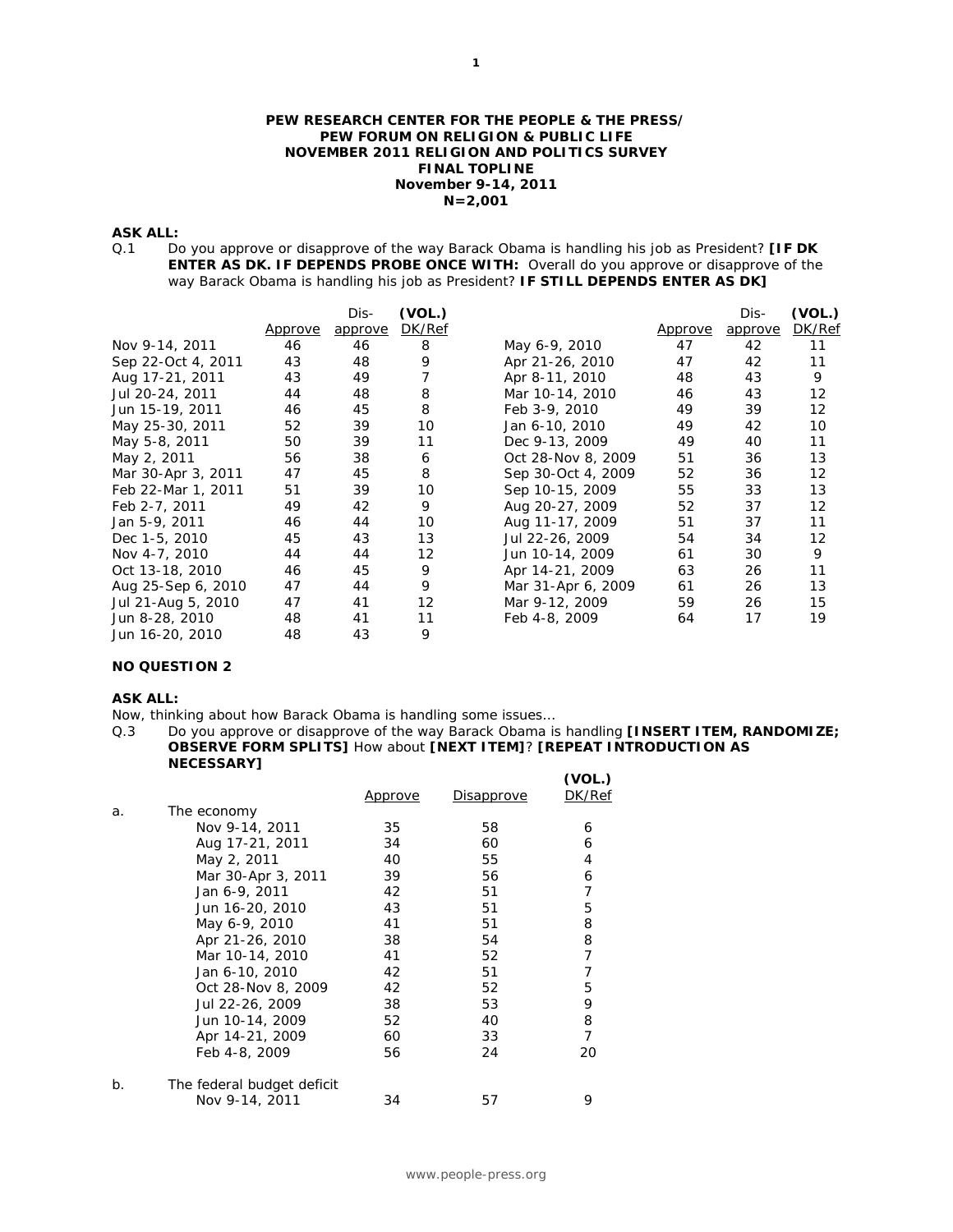#### **PEW RESEARCH CENTER FOR THE PEOPLE & THE PRESS/ PEW FORUM ON RELIGION & PUBLIC LIFE NOVEMBER 2011 RELIGION AND POLITICS SURVEY FINAL TOPLINE November 9-14, 2011 N=2,001**

#### **ASK ALL:**

Q.1 Do you approve or disapprove of the way Barack Obama is handling his job as President? **[IF DK ENTER AS DK. IF DEPENDS PROBE ONCE WITH:** Overall do you approve or disapprove of the way Barack Obama is handling his job as President? **IF STILL DEPENDS ENTER AS DK]** 

|                    |                | Dis-    | (VOL.) |                    |                | Dis-    | (VOL.) |
|--------------------|----------------|---------|--------|--------------------|----------------|---------|--------|
|                    | <u>Approve</u> | approve | DK/Ref |                    | <u>Approve</u> | approve | DK/Ref |
| Nov 9-14, 2011     | 46             | 46      | 8      | May 6-9, 2010      | 47             | 42      | 11     |
| Sep 22-Oct 4, 2011 | 43             | 48      | 9      | Apr 21-26, 2010    | 47             | 42      | 11     |
| Aug 17-21, 2011    | 43             | 49      | 7      | Apr 8-11, 2010     | 48             | 43      | 9      |
| Jul 20-24, 2011    | 44             | 48      | 8      | Mar 10-14, 2010    | 46             | 43      | 12     |
| Jun 15-19, 2011    | 46             | 45      | 8      | Feb 3-9, 2010      | 49             | 39      | 12     |
| May 25-30, 2011    | 52             | 39      | 10     | Jan 6-10, 2010     | 49             | 42      | 10     |
| May 5-8, 2011      | 50             | 39      | 11     | Dec 9-13, 2009     | 49             | 40      | 11     |
| May 2, 2011        | 56             | 38      | 6      | Oct 28-Nov 8, 2009 | 51             | 36      | 13     |
| Mar 30-Apr 3, 2011 | 47             | 45      | 8      | Sep 30-Oct 4, 2009 | 52             | 36      | 12     |
| Feb 22-Mar 1, 2011 | 51             | 39      | 10     | Sep 10-15, 2009    | 55             | 33      | 13     |
| Feb 2-7, 2011      | 49             | 42      | 9      | Aug 20-27, 2009    | 52             | 37      | 12     |
| Jan 5-9, 2011      | 46             | 44      | 10     | Aug 11-17, 2009    | 51             | 37      | 11     |
| Dec 1-5, 2010      | 45             | 43      | 13     | Jul 22-26, 2009    | 54             | 34      | 12     |
| Nov 4-7, 2010      | 44             | 44      | 12     | Jun 10-14, 2009    | 61             | 30      | 9      |
| Oct 13-18, 2010    | 46             | 45      | 9      | Apr 14-21, 2009    | 63             | 26      | 11     |
| Aug 25-Sep 6, 2010 | 47             | 44      | 9      | Mar 31-Apr 6, 2009 | 61             | 26      | 13     |
| Jul 21-Aug 5, 2010 | 47             | 41      | 12     | Mar 9-12, 2009     | 59             | 26      | 15     |
| Jun 8-28, 2010     | 48             | 41      | 11     | Feb 4-8, 2009      | 64             | 17      | 19     |
| Jun 16-20, 2010    | 48             | 43      | 9      |                    |                |         |        |

# **NO QUESTION 2**

#### **ASK ALL:**

- Now, thinking about how Barack Obama is handling some issues…
- Q.3 Do you approve or disapprove of the way Barack Obama is handling **[INSERT ITEM, RANDOMIZE; OBSERVE FORM SPLITS]** How about **[NEXT ITEM]**? **[REPEAT INTRODUCTION AS NECESSARY]**

|    |                            | <u>Approve</u> | <u>Disapprove</u> | (VOL.)<br>DK/Ref |
|----|----------------------------|----------------|-------------------|------------------|
| a. | The economy                |                |                   |                  |
|    | Nov 9-14, 2011             | 35             | 58                | 6                |
|    | Aug 17-21, 2011            | 34             | 60                | 6                |
|    | May 2, 2011                | 40             | 55                | 4                |
|    | Mar 30-Apr 3, 2011         | 39             | 56                | 6                |
|    | Jan 6-9, 2011              | 42             | 51                | 7                |
|    | Jun 16-20, 2010            | 43             | 51                | 5                |
|    | May 6-9, 2010              | 41             | 51                | 8                |
|    | Apr 21-26, 2010            | 38             | 54                | 8                |
|    | Mar 10-14, 2010            | 41             | 52                | 7                |
|    | Jan 6-10, 2010             | 42             | 51                | 7                |
|    | Oct 28-Nov 8, 2009         | 42             | 52                | 5                |
|    | Jul 22-26, 2009            | 38             | 53                | 9                |
|    | Jun 10-14, 2009            | 52             | 40                | 8                |
|    | Apr 14-21, 2009            | 60             | 33                | 7                |
|    | Feb 4-8, 2009              | 56             | 24                | 20               |
| b. | The federal budget deficit |                |                   |                  |
|    | Nov 9-14, 2011             | 34             | 57                | 9                |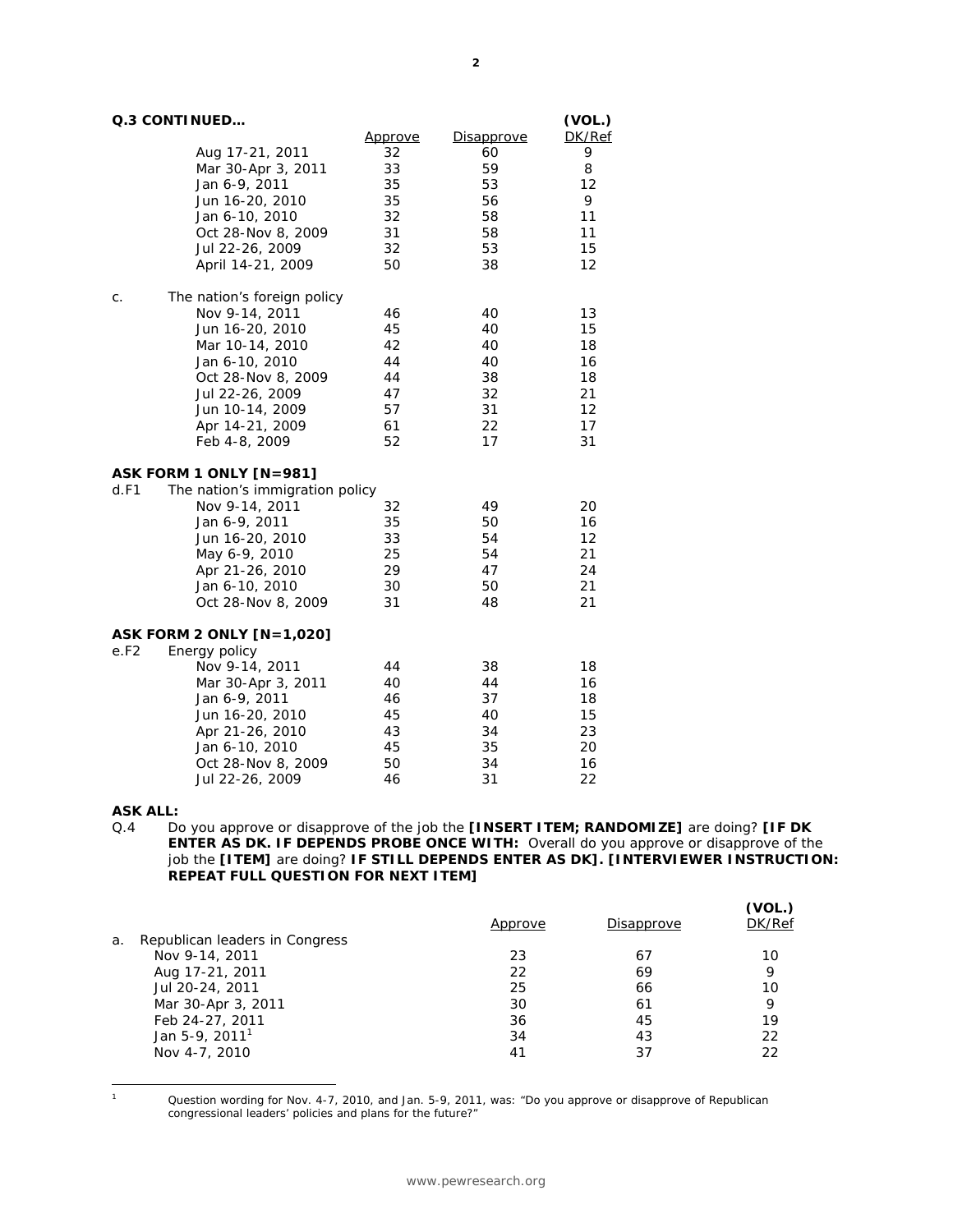| Q.3 CONTINUED | (VOL.) |
|---------------|--------|
|---------------|--------|

|                                         | <u>Approve</u> | <b>Disapprove</b> | DK/Ref |
|-----------------------------------------|----------------|-------------------|--------|
| Aug 17-21, 2011                         | 32             | 60                | 9      |
| Mar 30-Apr 3, 2011                      | 33             | 59                | 8      |
| Jan 6-9, 2011                           | 35             | 53                | 12     |
| Jun 16-20, 2010                         | 35             | 56                | 9      |
| Jan 6-10, 2010                          | 32             | 58                | 11     |
| Oct 28-Nov 8, 2009                      | 31             | 58                | 11     |
| Jul 22-26, 2009                         | 32             | 53                | 15     |
| April 14-21, 2009                       | 50             | 38                | 12     |
| The nation's foreign policy<br>С.       |                |                   |        |
| Nov 9-14, 2011                          | 46             | 40                | 13     |
| Jun 16-20, 2010                         | 45             | 40                | 15     |
| Mar 10-14, 2010                         | 42             | 40                | 18     |
| Jan 6-10, 2010                          | 44             | 40                | 16     |
| Oct 28-Nov 8, 2009                      | 44             | 38                | 18     |
| Jul 22-26, 2009                         | 47             | 32                | 21     |
| Jun 10-14, 2009                         | 57             | 31                | 12     |
| Apr 14-21, 2009                         | 61             | 22                | 17     |
| Feb 4-8, 2009                           | 52             | 17                | 31     |
| ASK FORM 1 ONLY [N=981]                 |                |                   |        |
| The nation's immigration policy<br>d.F1 |                |                   |        |
| Nov 9-14, 2011                          | 32             | 49                | 20     |
| Jan 6-9, 2011                           | 35             | 50                | 16     |
| Jun 16-20, 2010                         | 33             | 54                | 12     |
| May 6-9, 2010                           | 25             | 54                | 21     |
| Apr 21-26, 2010                         | 29             | 47                | 24     |
| Jan 6-10, 2010                          | 30             | 50                | 21     |
| Oct 28-Nov 8, 2009                      | 31             | 48                | 21     |
| <b>ASK FORM 2 ONLY [N=1,020]</b>        |                |                   |        |
| e.F2<br>Energy policy                   |                |                   |        |
| Nov 9-14, 2011                          | 44             | 38                | 18     |
| Mar 30-Apr 3, 2011                      | 40             | 44                | 16     |
| Jan 6-9, 2011                           | 46             | 37                | 18     |
| Jun 16-20, 2010                         | 45             | 40                | 15     |
| Apr 21-26, 2010                         | 43             | 34                | 23     |
| Jan 6-10, 2010                          | 45             | 35                | 20     |
| Oct 28-Nov 8, 2009                      | 50             | 34                | 16     |
| Jul 22-26, 2009                         | 46             | 31                | 22     |

#### **ASK ALL:**

Q.4 Do you approve or disapprove of the job the **[INSERT ITEM; RANDOMIZE]** are doing? **[IF DK ENTER AS DK. IF DEPENDS PROBE ONCE WITH:** Overall do you approve or disapprove of the job the **[ITEM]** are doing? **IF STILL DEPENDS ENTER AS DK]. [INTERVIEWER INSTRUCTION: REPEAT FULL QUESTION FOR NEXT ITEM]** 

|                                | Approve | Disapprove | (VOL.)<br>DK/Ref |
|--------------------------------|---------|------------|------------------|
| Republican leaders in Congress |         |            |                  |
| Nov 9-14, 2011                 | 23      | 67         | 10               |
| Aug 17-21, 2011                | 22      | 69         | 9                |
| Jul 20-24, 2011                | 25      | 66         | 10               |
| Mar 30-Apr 3, 2011             | 30      | 61         | 9                |
| Feb 24-27, 2011                | 36      | 45         | 19               |
| Jan 5-9, 2011 <sup>1</sup>     | 34      | 43         | 22               |
| Nov 4-7, 2010                  | 41      | 37         | 22               |
|                                |         |            |                  |

 $\overline{a}$ 

1 Question wording for Nov. 4-7, 2010, and Jan. 5-9, 2011, was: "Do you approve or disapprove of Republican congressional leaders' policies and plans for the future?"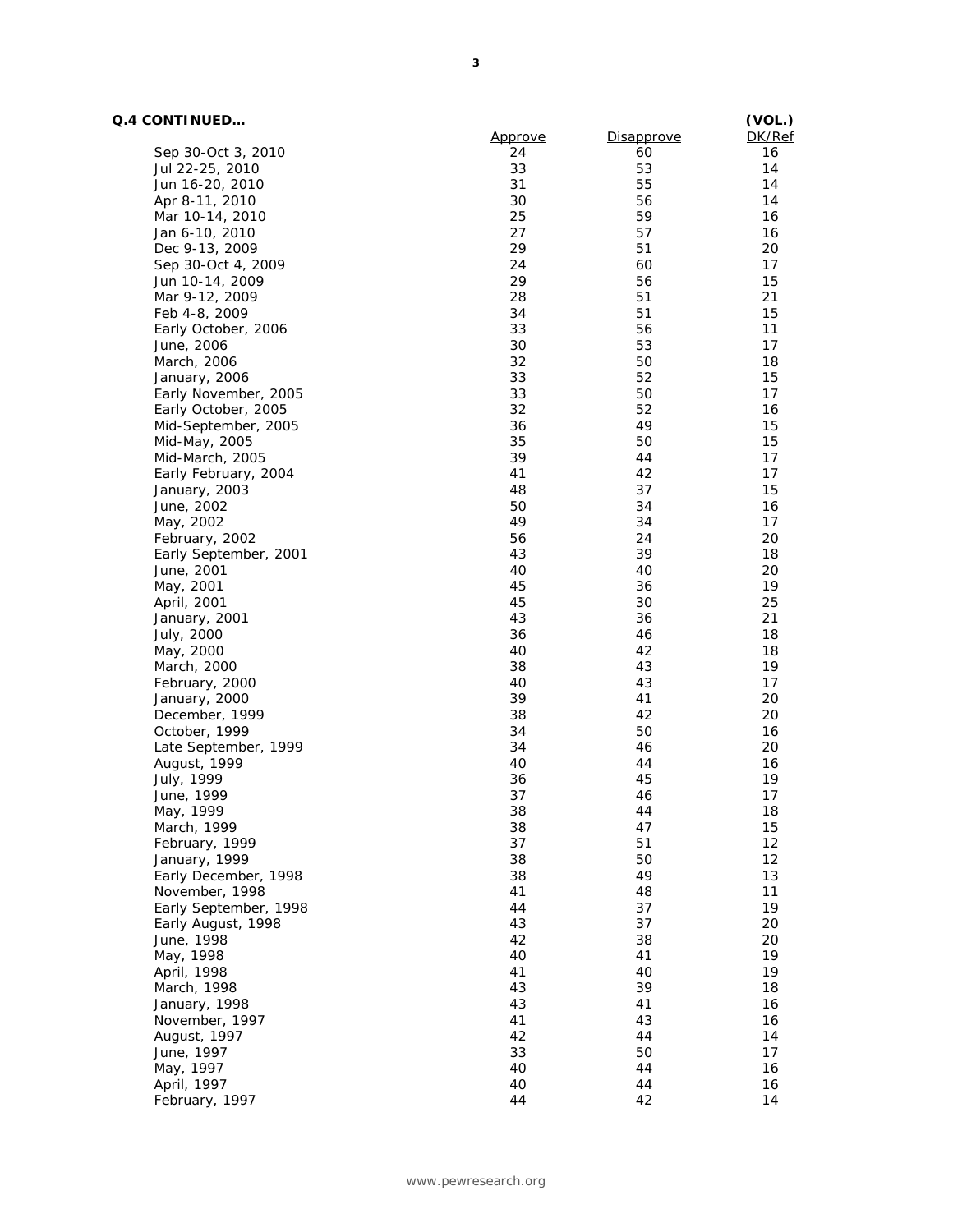# **Q.4 CONTINUED…**

| Q.4 CONTINUED         | Approve | <b>Disapprove</b> | (VOL.)<br>DK/Ref |
|-----------------------|---------|-------------------|------------------|
| Sep 30-Oct 3, 2010    | 24      | 60                | 16               |
| Jul 22-25, 2010       | 33      | 53                | 14               |
|                       | 31      | 55                | 14               |
| Jun 16-20, 2010       |         |                   |                  |
| Apr 8-11, 2010        | 30      | 56                | 14               |
| Mar 10-14, 2010       | 25      | 59                | 16               |
| Jan 6-10, 2010        | 27      | 57                | 16               |
| Dec 9-13, 2009        | 29      | 51                | 20               |
| Sep 30-Oct 4, 2009    | 24      | 60                | 17               |
| Jun 10-14, 2009       | 29      | 56                | 15               |
| Mar 9-12, 2009        | 28      | 51                | 21               |
| Feb 4-8, 2009         | 34      | 51                | 15               |
| Early October, 2006   | 33      | 56                | 11               |
| June, 2006            | 30      | 53                | 17               |
| March, 2006           | 32      | 50                | 18               |
| January, 2006         | 33      | 52                | 15               |
| Early November, 2005  | 33      | 50                | 17               |
| Early October, 2005   | 32      | 52                | 16               |
| Mid-September, 2005   | 36      | 49                | 15               |
|                       | 35      | 50                | 15               |
| Mid-May, 2005         |         |                   |                  |
| Mid-March, 2005       | 39      | 44                | 17               |
| Early February, 2004  | 41      | 42                | 17               |
| January, 2003         | 48      | 37                | 15               |
| June, 2002            | 50      | 34                | 16               |
| May, 2002             | 49      | 34                | 17               |
| February, 2002        | 56      | 24                | 20               |
| Early September, 2001 | 43      | 39                | 18               |
| June, 2001            | 40      | 40                | 20               |
| May, 2001             | 45      | 36                | 19               |
| April, 2001           | 45      | 30                | 25               |
| January, 2001         | 43      | 36                | 21               |
| July, 2000            | 36      | 46                | 18               |
| May, 2000             | 40      | 42                | 18               |
| March, 2000           | 38      | 43                | 19               |
| February, 2000        | 40      | 43                | 17               |
| January, 2000         | 39      | 41                | 20               |
| December, 1999        | 38      | 42                | 20               |
| October, 1999         | 34      | 50                | 16               |
| Late September, 1999  | 34      | 46                | 20               |
|                       |         |                   |                  |
| August, 1999          | 40      | 44                | 16               |
| July, 1999            | 36      | 45                | 19               |
| June, 1999            | 37      | 46                | 17               |
| мау, 1999             | 38      | 44                | 18               |
| March, 1999           | 38      | 47                | 15               |
| February, 1999        | 37      | 51                | 12               |
| January, 1999         | 38      | 50                | 12               |
| Early December, 1998  | 38      | 49                | 13               |
| November, 1998        | 41      | 48                | 11               |
| Early September, 1998 | 44      | 37                | 19               |
| Early August, 1998    | 43      | 37                | 20               |
| June, 1998            | 42      | 38                | 20               |
| May, 1998             | 40      | 41                | 19               |
| April, 1998           | 41      | 40                | 19               |
| March, 1998           | 43      | 39                | 18               |
| January, 1998         | 43      | 41                | 16               |
|                       | 41      | 43                | 16               |
| November, 1997        |         |                   |                  |
| August, 1997          | 42      | 44                | 14               |
| June, 1997            | 33      | 50                | 17               |
| May, 1997             | 40      | 44                | 16               |
| April, 1997           | 40      | 44                | 16               |
| February, 1997        | 44      | 42                | 14               |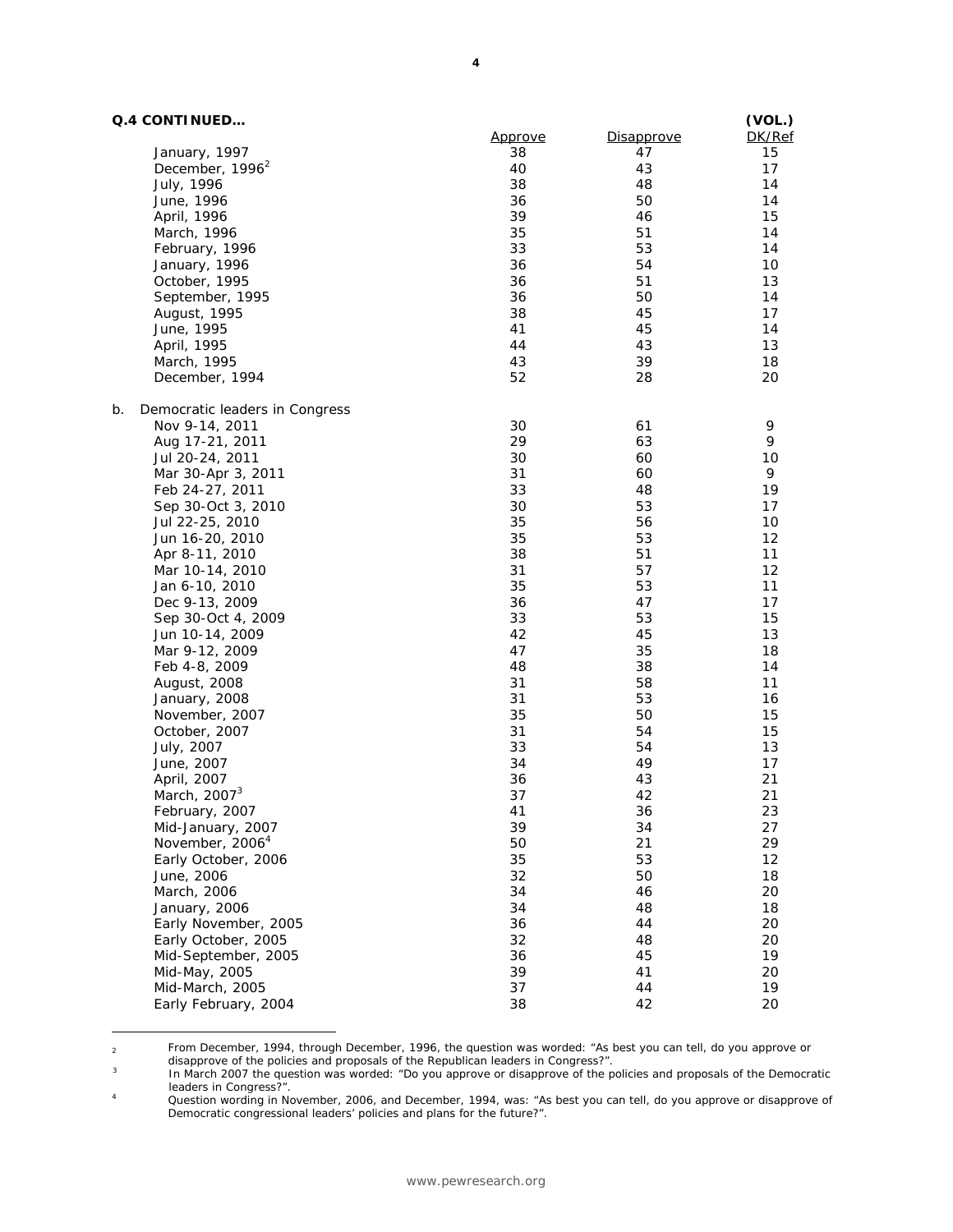# **Q.4 CONTINUED…**

 $\overline{a}$ 

|    | Q.4 CONTINUED                  |         |                   | (VOL.) |
|----|--------------------------------|---------|-------------------|--------|
|    |                                | Approve | <b>Disapprove</b> | DK/Ref |
|    | January, 1997                  | 38      | 47                | 15     |
|    | December, 1996 <sup>2</sup>    | 40      | 43                | 17     |
|    | July, 1996                     | 38      | 48                | 14     |
|    | June, 1996                     | 36      | 50                | 14     |
|    | April, 1996                    | 39      | 46                | 15     |
|    | March, 1996                    | 35      | 51                | 14     |
|    | February, 1996                 | 33      | 53                | 14     |
|    | January, 1996                  | 36      | 54                | 10     |
|    | October, 1995                  | 36      | 51                | 13     |
|    | September, 1995                | 36      | 50                | 14     |
|    | August, 1995                   | 38      | 45                | 17     |
|    | June, 1995                     | 41      | 45                | 14     |
|    | April, 1995                    | 44      | 43                | 13     |
|    | March, 1995                    | 43      | 39                | 18     |
|    | December, 1994                 | 52      | 28                | 20     |
| b. | Democratic leaders in Congress |         |                   |        |
|    | Nov 9-14, 2011                 | 30      | 61                | 9      |
|    | Aug 17-21, 2011                | 29      | 63                | 9      |
|    | Jul 20-24, 2011                | 30      | 60                | 10     |
|    | Mar 30-Apr 3, 2011             | 31      | 60                | 9      |
|    | Feb 24-27, 2011                | 33      | 48                | 19     |
|    | Sep 30-Oct 3, 2010             | 30      | 53                | 17     |
|    | Jul 22-25, 2010                | 35      | 56                | 10     |
|    | Jun 16-20, 2010                | 35      | 53                | 12     |
|    | Apr 8-11, 2010                 | 38      | 51                | 11     |
|    | Mar 10-14, 2010                | 31      | 57                | 12     |
|    | Jan 6-10, 2010                 | 35      | 53                | 11     |
|    | Dec 9-13, 2009                 | 36      | 47                | 17     |
|    | Sep 30-Oct 4, 2009             | 33      | 53                | 15     |
|    | Jun 10-14, 2009                | 42      | 45                | 13     |
|    | Mar 9-12, 2009                 | 47      | 35                | 18     |
|    | Feb 4-8, 2009                  | 48      | 38                | 14     |
|    | August, 2008                   | 31      | 58                | 11     |
|    | January, 2008                  | 31      | 53                | 16     |
|    | November, 2007                 | 35      | 50                | 15     |
|    | October, 2007                  | 31      | 54                | 15     |
|    | July, 2007                     | 33      | 54                | 13     |
|    | June, 2007                     | 34      | 49                | 17     |
|    | April, 2007                    | 36      | 43                | 21     |
|    | March, 2007 <sup>3</sup>       | 37      | 42                | 21     |
|    | February, 2007                 | 41      | 36                | 23     |
|    | Mid-January, 2007              | 39      | 34                | 27     |
|    | November, 2006 <sup>4</sup>    | 50      | 21                | 29     |
|    | Early October, 2006            | 35      | 53                | 12     |
|    | June, 2006                     | 32      | 50                | 18     |
|    | March, 2006                    | 34      | 46                | 20     |
|    | January, 2006                  | 34      | 48                | 18     |
|    | Early November, 2005           | 36      | 44                | 20     |
|    | Early October, 2005            | 32      | 48                | 20     |
|    | Mid-September, 2005            | 36      | 45                | 19     |
|    | Mid-May, 2005                  | 39      | 41                | 20     |
|    | Mid-March, 2005                | 37      | 44                | 19     |
|    | Early February, 2004           | 38      | 42                | 20     |

2 From December, 1994, through December, 1996, the question was worded: "As best you can tell, do you approve or

disapprove of the policies and proposals of the Republican leaders in Congress?".<br>In March 2007 the question was worded: "Do you approve or disapprove of the policies and proposals of the Democratic<br>leaders in Congress?".

dersta. A Congress?". A Question wording in November, 2006, and December, 1994, was: "As best you can tell, do you approve or disapprove of Democratic congressional leaders' policies and plans for the future?".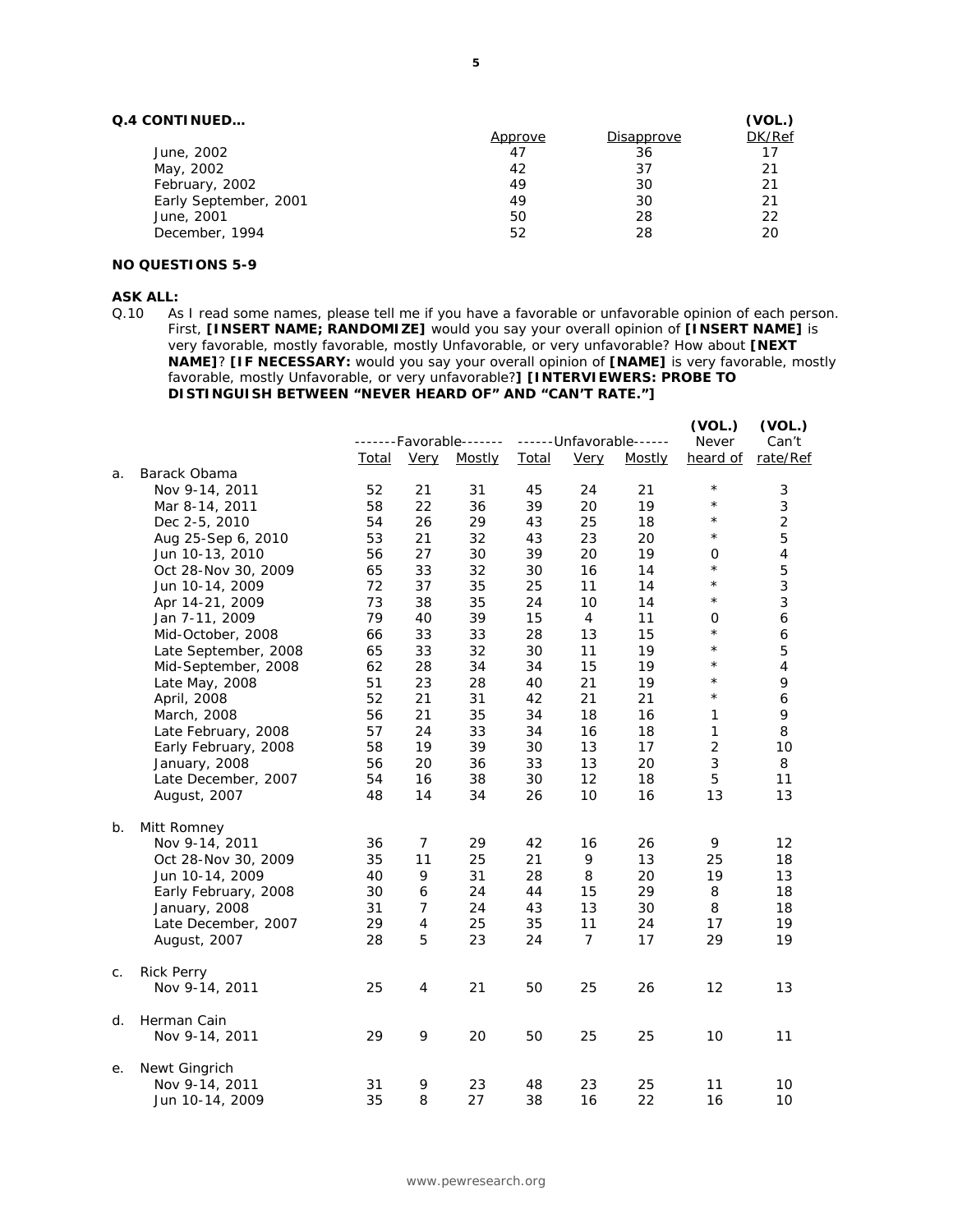# **Q.4 CONTINUED…**

|         |            | (VOL.) |
|---------|------------|--------|
| Approve | Disapprove | DK/Ref |
| 47      | 36         | 17     |
| 42      | 37         | 21     |
| 49      | 30         | 21     |
| 49      | 30         | 21     |
| 50      | 28         | 22     |
| 52      | 28         | 20     |
|         |            |        |

## **NO QUESTIONS 5-9**

#### **ASK ALL:**

Q.10 As I read some names, please tell me if you have a favorable or unfavorable opinion of each person. First, **[INSERT NAME; RANDOMIZE]** would you say your overall opinion of **[INSERT NAME]** is very favorable, mostly favorable, mostly Unfavorable, or very unfavorable? How about **[NEXT NAME]**? **[IF NECESSARY:** would you say your overall opinion of **[NAME]** is very favorable, mostly favorable, mostly Unfavorable, or very unfavorable?**] [INTERVIEWERS: PROBE TO DISTINGUISH BETWEEN "NEVER HEARD OF" AND "CAN'T RATE."]** 

|    |                      |       |                | -------Favorable------- |              |                | ------ Unfavorable------ | (VOL.)<br>Never | (VOL.)<br>Can't |
|----|----------------------|-------|----------------|-------------------------|--------------|----------------|--------------------------|-----------------|-----------------|
|    |                      | Total | <b>Very</b>    | <b>Mostly</b>           | <b>Total</b> | <b>Very</b>    | Mostly                   | heard of        | rate/Ref        |
| a. | Barack Obama         |       |                |                         |              |                |                          |                 |                 |
|    | Nov 9-14, 2011       | 52    | 21             | 31                      | 45           | 24             | 21                       | $^\star$        | 3               |
|    | Mar 8-14, 2011       | 58    | 22             | 36                      | 39           | <i>20</i>      | 19                       | $^\star$        | 3               |
|    | Dec 2-5, 2010        | 54    | 26             | 29                      | 43           | 25             | 18                       | $\star$         | $\overline{2}$  |
|    | Aug 25-Sep 6, 2010   | 53    | 21             | 32                      | 43           | 23             | 20                       | $^\star$        | 5               |
|    | Jun 10-13, 2010      | 56    | 27             | 30                      | 39           | 20             | 19                       | 0               | 4               |
|    | Oct 28-Nov 30, 2009  | 65    | 33             | 32                      | 30           | 16             | 14                       | $^\star$        | 5               |
|    | Jun 10-14, 2009      | 72    | 37             | 35                      | 25           | 11             | 14                       | $^\star$        | 3               |
|    | Apr 14-21, 2009      | 73    | 38             | 35                      | 24           | 10             | 14                       | $^\star$        | 3               |
|    | Jan 7-11, 2009       | 79    | 40             | 39                      | 15           | $\overline{4}$ | 11                       | 0               | 6               |
|    | Mid-October, 2008    | 66    | 33             | 33                      | 28           | 13             | 15                       | $^\star$        | 6               |
|    | Late September, 2008 | 65    | 33             | 32                      | 30           | 11             | 19                       | $^{\star}$      | 5               |
|    | Mid-September, 2008  | 62    | 28             | 34                      | 34           | 15             | 19                       | $^\star$        | 4               |
|    | Late May, 2008       | 51    | 23             | 28                      | 40           | 21             | 19                       | $^\star$        | 9               |
|    | April, 2008          | 52    | 21             | 31                      | 42           | 21             | 21                       | $^\star$        | 6               |
|    | March, 2008          | 56    | 21             | 35                      | 34           | 18             | 16                       | 1               | 9               |
|    | Late February, 2008  | 57    | 24             | 33                      | 34           | 16             | 18                       | 1               | 8               |
|    | Early February, 2008 | 58    | 19             | 39                      | 30           | 13             | 17                       | $\overline{2}$  | 10              |
|    | January, 2008        | 56    | <i>20</i>      | 36                      | 33           | 13             | 20                       | 3               | 8               |
|    | Late December, 2007  | 54    | 16             | 38                      | 30           | 12             | 18                       | 5               | 11              |
|    | August, 2007         | 48    | 14             | 34                      | 26           | 10             | 16                       | 13              | 13              |
| b. | Mitt Romney          |       |                |                         |              |                |                          |                 |                 |
|    | Nov 9-14, 2011       | 36    | 7              | 29                      | 42           | 16             | 26                       | 9               | 12              |
|    | Oct 28-Nov 30, 2009  | 35    | 11             | 25                      | 21           | 9              | 13                       | 25              | 18              |
|    | Jun 10-14, 2009      | 40    | 9              | 31                      | 28           | 8              | 20                       | 19              | 13              |
|    | Early February, 2008 | 30    | 6              | 24                      | 44           | 15             | 29                       | 8               | 18              |
|    | January, 2008        | 31    | 7              | 24                      | 43           | 13             | 30                       | 8               | 18              |
|    | Late December, 2007  | 29    | $\overline{4}$ | 25                      | 35           | 11             | 24                       | 17              | 19              |
|    | August, 2007         | 28    | 5              | 23                      | 24           | $\overline{7}$ | 17                       | 29              | 19              |
| С. | <b>Rick Perry</b>    |       |                |                         |              |                |                          |                 |                 |
|    | Nov 9-14, 2011       | 25    | $\overline{4}$ | 21                      | 50           | 25             | 26                       | 12              | 13              |
| d. | Herman Cain          |       |                |                         |              |                |                          |                 |                 |
|    | Nov 9-14, 2011       | 29    | 9              | 20                      | 50           | 25             | 25                       | 10              | 11              |
| е. | Newt Gingrich        |       |                |                         |              |                |                          |                 |                 |
|    | Nov 9-14, 2011       | 31    | 9              | 23                      | 48           | 23             | 25                       | 11              | 10              |
|    | Jun 10-14, 2009      | 35    | 8              | 27                      | 38           | 16             | 22                       | 16              | 10              |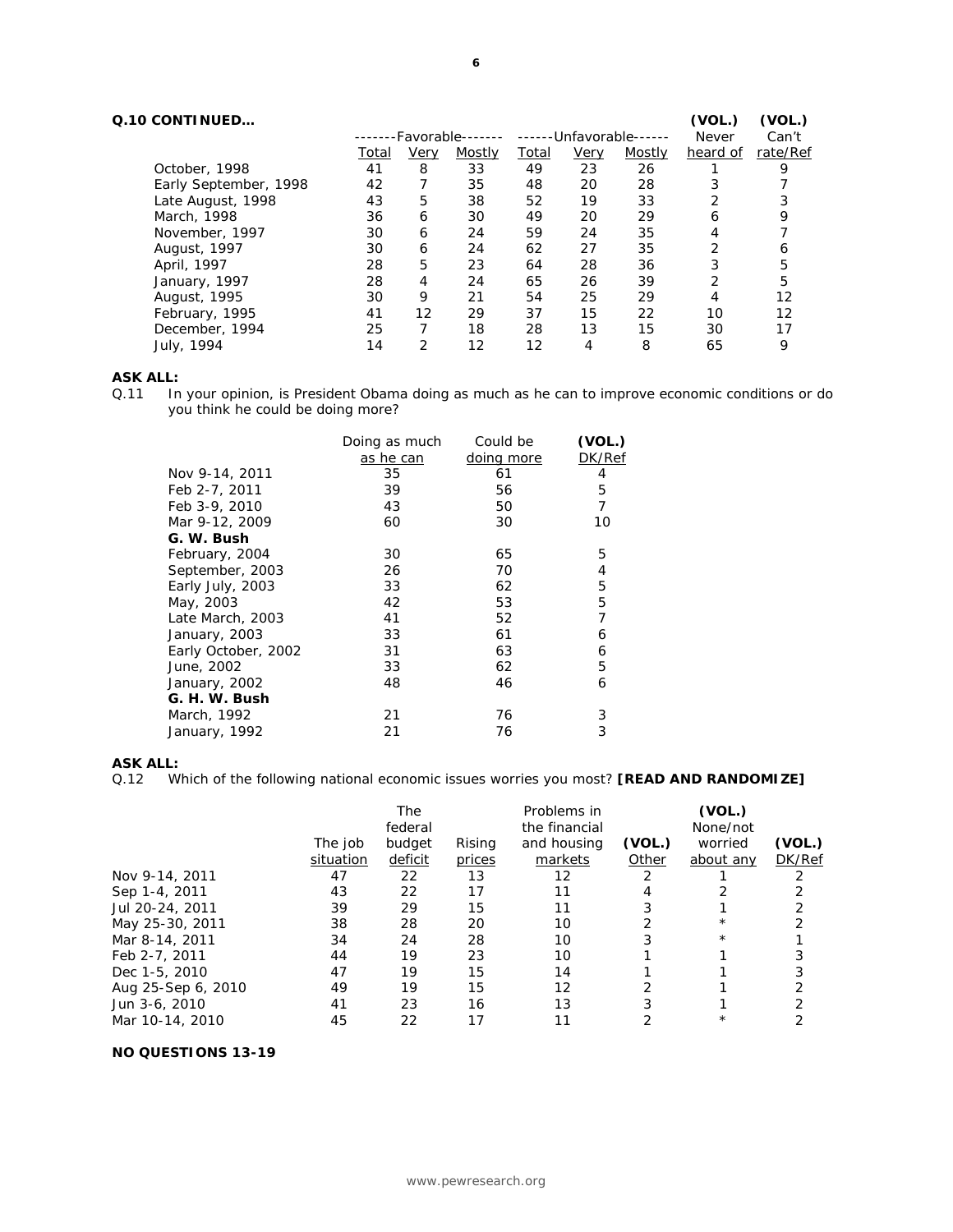| Q.10 CONTINUED        |              |      |                   |              |      |                    | (VOL.)       | (VOL.)   |
|-----------------------|--------------|------|-------------------|--------------|------|--------------------|--------------|----------|
|                       |              |      | -Favorable------- | $- - - - -$  |      | -Unfavorable------ | <b>Never</b> | Can't    |
|                       | <u>Total</u> | Very | Mostly            | <u>Total</u> | Very | Mostly             | heard of     | rate/Ref |
| October, 1998         | 41           | 8    | 33                | 49           | 23   | 26                 |              |          |
| Early September, 1998 | 42           |      | 35                | 48           | 20   | 28                 | 3            |          |
| Late August, 1998     | 43           | 5    | 38                | 52           | 19   | 33                 | 2            |          |
| March, 1998           | 36           | 6    | 30                | 49           | 20   | 29                 | 6            | 9        |
| November, 1997        | 30           | 6    | 24                | 59           | 24   | 35                 | 4            |          |
| August, 1997          | 30           | 6    | 24                | 62           | 27   | 35                 | 2            | 6        |
| April, 1997           | 28           | 5    | 23                | 64           | 28   | 36                 | 3            | 5        |
| January, 1997         | 28           | 4    | 24                | 65           | 26   | 39                 | 2            | 5        |
| August, 1995          | 30           | 9    | 21                | 54           | 25   | 29                 | 4            | 12       |
| February, 1995        | 41           | 12   | 29                | 37           | 15   | 22                 | 10           | 12       |
| December, 1994        | 25           |      | 18                | 28           | 13   | 15                 | 30           | 17       |
| July, 1994            | 14           | っ    | 12                | 12           | 4    | 8                  | 65           | 9        |

# **ASK ALL:**

Q.11 In your opinion, is President Obama doing as much as he can to improve economic conditions or do you think he could be doing more?

|                     | Doing as much | Could be   | (VOL.) |
|---------------------|---------------|------------|--------|
|                     | as he can     | doing more | DK/Ref |
| Nov 9-14, 2011      | 35            | 61         | 4      |
| Feb 2-7, 2011       | 39            | 56         | 5      |
| Feb 3-9, 2010       | 43            | 50         | 7      |
| Mar 9-12, 2009      | 60            | 30         | 10     |
| G. W. Bush          |               |            |        |
| February, 2004      | 30            | 65         | 5      |
| September, 2003     | 26            | 70         | 4      |
| Early July, 2003    | 33            | 62         | 5      |
| May, 2003           | 42            | 53         | 5      |
| Late March, 2003    | 41            | 52         | 7      |
| January, 2003       | 33            | 61         | 6      |
| Early October, 2002 | 31            | 63         | 6      |
| June, 2002          | 33            | 62         | 5      |
| January, 2002       | 48            | 46         | 6      |
| G. H. W. Bush       |               |            |        |
| March, 1992         | 21            | 76         | 3      |
| January, 1992       | 21            | 76         | 3      |
|                     |               |            |        |

# **ASK ALL:**

Q.12 Which of the following national economic issues worries you most? **[READ AND RANDOMIZE]** 

|                    |           | The<br>federal |        | Problems in<br>the financial |        | (VOL.)<br>None/not |        |
|--------------------|-----------|----------------|--------|------------------------------|--------|--------------------|--------|
|                    | The job   | budget         | Rising | and housing                  | (VOL.) | worried            | (VOL.) |
|                    | situation | deficit        | prices | markets                      | Other  | about any          | DK/Ref |
| Nov 9-14, 2011     | 47        | 22             | 13     | 12                           |        |                    |        |
| Sep 1-4, 2011      | 43        | 22             | 17     |                              |        |                    |        |
| Jul 20-24, 2011    | 39        | 29             | 15     |                              |        |                    |        |
| May 25-30, 2011    | 38        | 28             | 20     | 10                           |        | $^\star$           |        |
| Mar 8-14, 2011     | 34        | 24             | 28     | 10                           |        | $\star$            |        |
| Feb 2-7, 2011      | 44        | 19             | 23     | 10                           |        |                    |        |
| Dec 1-5, 2010      | 47        | 19             | 15     | 14                           |        |                    |        |
| Aug 25-Sep 6, 2010 | 49        | 19             | 15     | 12                           |        |                    |        |
| Jun 3-6, 2010      | 41        | 23             | 16     | 13                           |        |                    |        |
| Mar 10-14, 2010    | 45        | 22             | 17     |                              |        | $^\star$           |        |

# **NO QUESTIONS 13-19**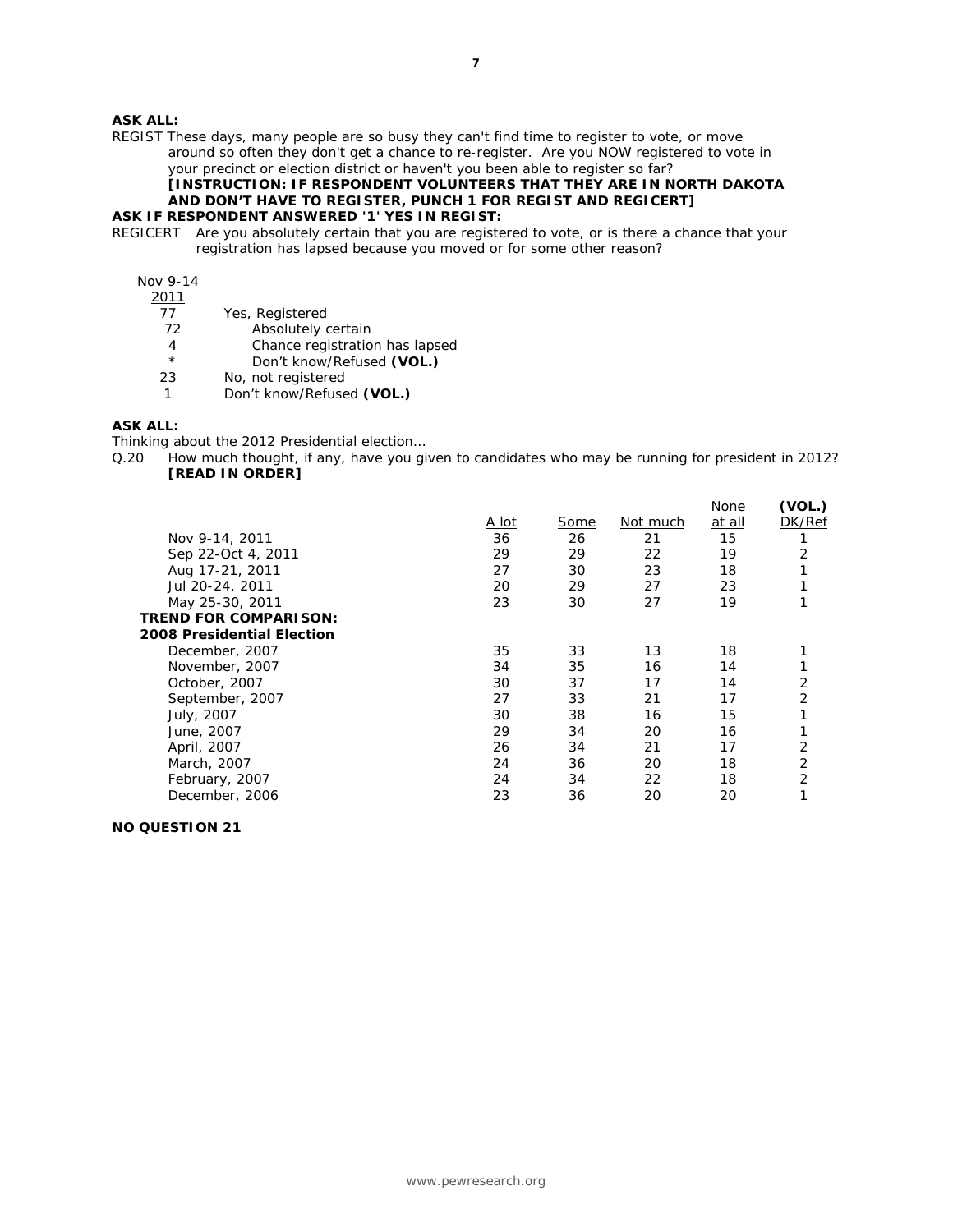# **ASK ALL:**

REGIST These days, many people are so busy they can't find time to register to vote, or move around so often they don't get a chance to re-register. Are you NOW registered to vote in your precinct or election district or haven't you been able to register so far? **[INSTRUCTION: IF RESPONDENT VOLUNTEERS THAT THEY ARE IN NORTH DAKOTA** 

# **AND DON'T HAVE TO REGISTER, PUNCH 1 FOR REGIST AND REGICERT]**

# **ASK IF RESPONDENT ANSWERED '1' YES IN REGIST:**

REGICERT Are you absolutely certain that you are registered to vote, or is there a chance that your registration has lapsed because you moved or for some other reason?

# Nov 9-14

- 2011
	- 77 Yes, Registered
	- 72 Absolutely certain
	- 4 Chance registration has lapsed
	- \* Don't know/Refused **(VOL.)**
	- 23 No, not registered
	- 1 Don't know/Refused **(VOL.)**

# **ASK ALL:**

Thinking about the 2012 Presidential election…

Q.20 How much thought, if any, have you given to candidates who may be running for president in 2012? **[READ IN ORDER]** 

|                                   |              |      |          | None   | (VOL.) |
|-----------------------------------|--------------|------|----------|--------|--------|
|                                   | <u>A lot</u> | Some | Not much | at all | DK/Ref |
| Nov 9-14, 2011                    | 36           | 26   | 21       | 15     |        |
| Sep 22-Oct 4, 2011                | 29           | 29   | 22       | 19     | 2      |
| Aug 17-21, 2011                   | 27           | 30   | 23       | 18     |        |
| Jul 20-24, 2011                   | 20           | 29   | 27       | 23     |        |
| May 25-30, 2011                   | 23           | 30   | 27       | 19     |        |
| <b>TREND FOR COMPARISON:</b>      |              |      |          |        |        |
| <b>2008 Presidential Election</b> |              |      |          |        |        |
| December, 2007                    | 35           | 33   | 13       | 18     |        |
| November, 2007                    | 34           | 35   | 16       | 14     |        |
| October, 2007                     | 30           | 37   | 17       | 14     | 2      |
| September, 2007                   | 27           | 33   | 21       | 17     | 2      |
| July, 2007                        | 30           | 38   | 16       | 15     |        |
| June, 2007                        | 29           | 34   | 20       | 16     |        |
| April, 2007                       | 26           | 34   | 21       | 17     | 2      |
| March, 2007                       | 24           | 36   | 20       | 18     | 2      |
| February, 2007                    | 24           | 34   | 22       | 18     | 2      |
| December, 2006                    | 23           | 36   | 20       | 20     |        |
|                                   |              |      |          |        |        |

#### **NO QUESTION 21**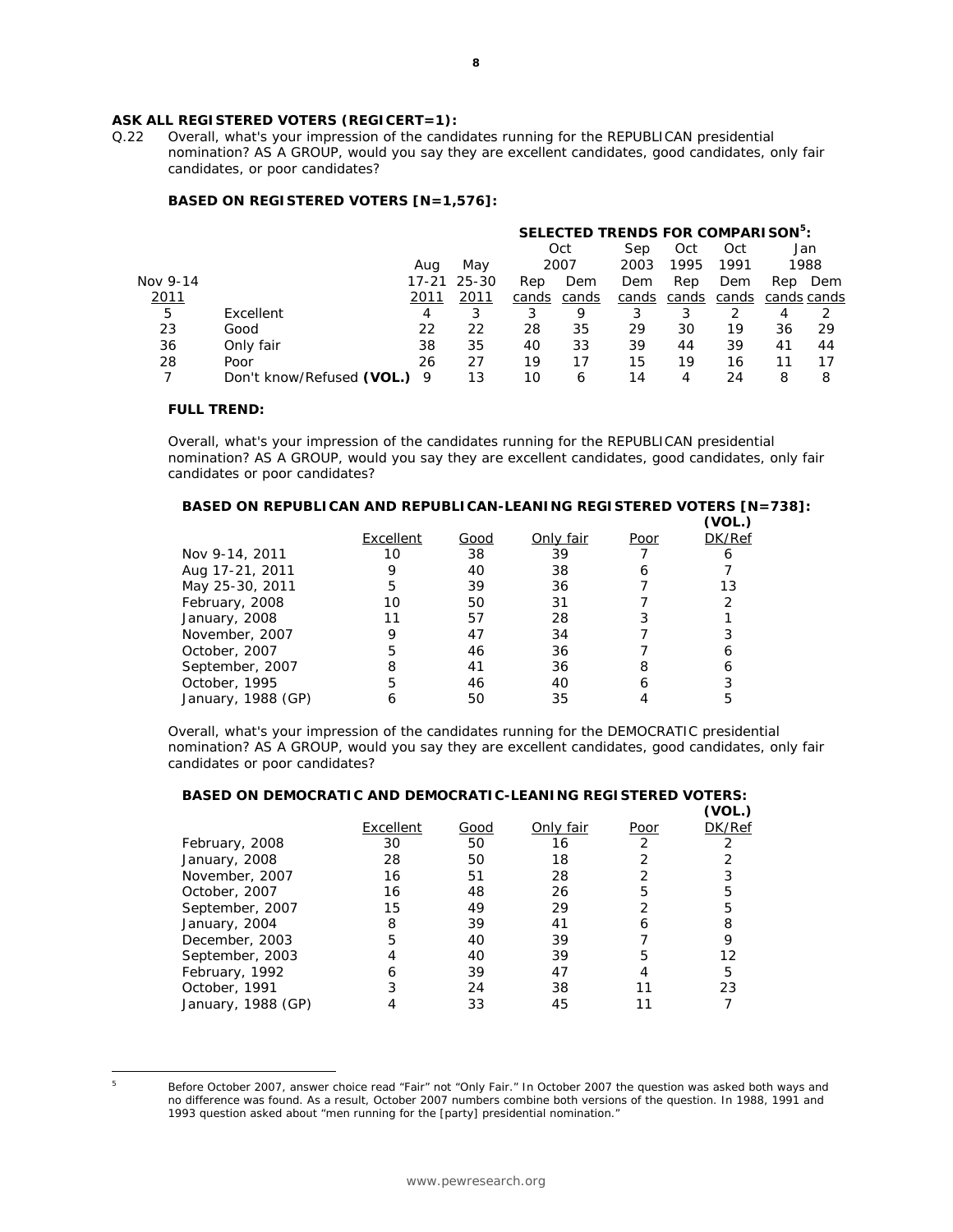# **ASK ALL REGISTERED VOTERS (REGICERT=1):**

Q.22 Overall, what's your impression of the candidates running for the REPUBLICAN presidential nomination? AS A GROUP, would you say they are excellent candidates, good candidates, only fair candidates, or poor candidates?

## **BASED ON REGISTERED VOTERS [N=1,576]:**

|          |                           |      |             | SELECTED TRENDS FOR COMPARISON <sup>5</sup> : |       |       |       |       |             |      |  |
|----------|---------------------------|------|-------------|-----------------------------------------------|-------|-------|-------|-------|-------------|------|--|
|          |                           |      |             | Oct<br>Oct<br>Sep<br>Oct                      |       |       |       |       |             |      |  |
|          |                           | Aug  | May         |                                               | 2007  | 2003  | 1995  | 1991  |             | 1988 |  |
| Nov 9-14 |                           |      | 17-21 25-30 | Rep                                           | Dem   | Dem   | Rep   | Dem   | Rep         | Dem  |  |
| 2011     |                           | 2011 | 2011        | cands                                         | cands | cands | cands | cands | cands cands |      |  |
| 5        | Excellent                 | 4    |             | 3                                             | 9     | 3     | 3     |       | 4           |      |  |
| 23       | Good                      | 22   | 22          | 28                                            | 35    | 29    | 30    | 19    | 36          | 29   |  |
| 36       | Only fair                 | 38   | 35          | 40                                            | 33    | 39    | 44    | 39    | 41          | 44   |  |
| 28       | Poor                      | 26   | 27          | 19                                            | 17    | 15    | 19    | 16    | 11          | 17   |  |
|          | Don't know/Refused (VOL.) | - 9  | 13          | 10                                            | 6     | 14    |       | 24    | 8           | 8    |  |

## **FULL TREND:**

*Overall, what's your impression of the candidates running for the REPUBLICAN presidential nomination? AS A GROUP, would you say they are excellent candidates, good candidates, only fair candidates or poor candidates?*

# **BASED ON REPUBLICAN AND REPUBLICAN-LEANING REGISTERED VOTERS [N=738]:**

|                    |           |      |           |      | VOL.   |
|--------------------|-----------|------|-----------|------|--------|
|                    | Excellent | Good | Only fair | Poor | DK/Ref |
| Nov 9-14, 2011     | 10        | 38   | 39        |      |        |
| Aug 17-21, 2011    |           | 40   | 38        |      |        |
| May 25-30, 2011    | 5         | 39   | 36        |      | 13     |
| February, 2008     | 10        | 50   | 31        |      |        |
| January, 2008      |           | 57   | 28        |      |        |
| November, 2007     |           | 47   | 34        |      |        |
| October, 2007      | 5         | 46   | 36        |      |        |
| September, 2007    | 8         | 41   | 36        | 8    |        |
| October, 1995      | 5         | 46   | 40        |      |        |
| January, 1988 (GP) |           | 50   | 35        |      |        |
|                    |           |      |           |      |        |

*Overall, what's your impression of the candidates running for the DEMOCRATIC presidential nomination? AS A GROUP, would you say they are excellent candidates, good candidates, only fair candidates or poor candidates?*

| <b>BASED ON DEMOCRATIC AND DEMOCRATIC-LEANING REGISTERED VOTERS:</b> |           |      |           |             |        |
|----------------------------------------------------------------------|-----------|------|-----------|-------------|--------|
|                                                                      |           |      |           |             | (VOL.) |
|                                                                      | Excellent | Good | Only fair | <u>Poor</u> | DK/Ref |
| February, 2008                                                       | 30        | 50   | 16        | 2           |        |
| January, 2008                                                        | 28        | 50   | 18        |             |        |
| November, 2007                                                       | 16        | 51   | 28        |             |        |
| October, 2007                                                        | 16        | 48   | 26        | 5           | 5      |
| September, 2007                                                      | 15        | 49   | 29        |             | 5      |
| January, 2004                                                        | 8         | 39   | 41        |             | 8      |
| December, 2003                                                       | 5         | 40   | 39        |             | 9      |
| September, 2003                                                      |           | 40   | 39        | 5           | 12     |
| February, 1992                                                       | 6         | 39   | 47        |             | 5      |
| October, 1991                                                        | 3         | 24   | 38        |             | 23     |
| January, 1988 (GP)                                                   |           | 33   | 45        |             |        |
|                                                                      |           |      |           |             |        |

 $\overline{a}$ 

<sup>5</sup> Before October 2007, answer choice read "Fair" not "Only Fair." In October 2007 the question was asked both ways and no difference was found. As a result, October 2007 numbers combine both versions of the question. In 1988, 1991 and 1993 question asked about "men running for the [party] presidential nomination."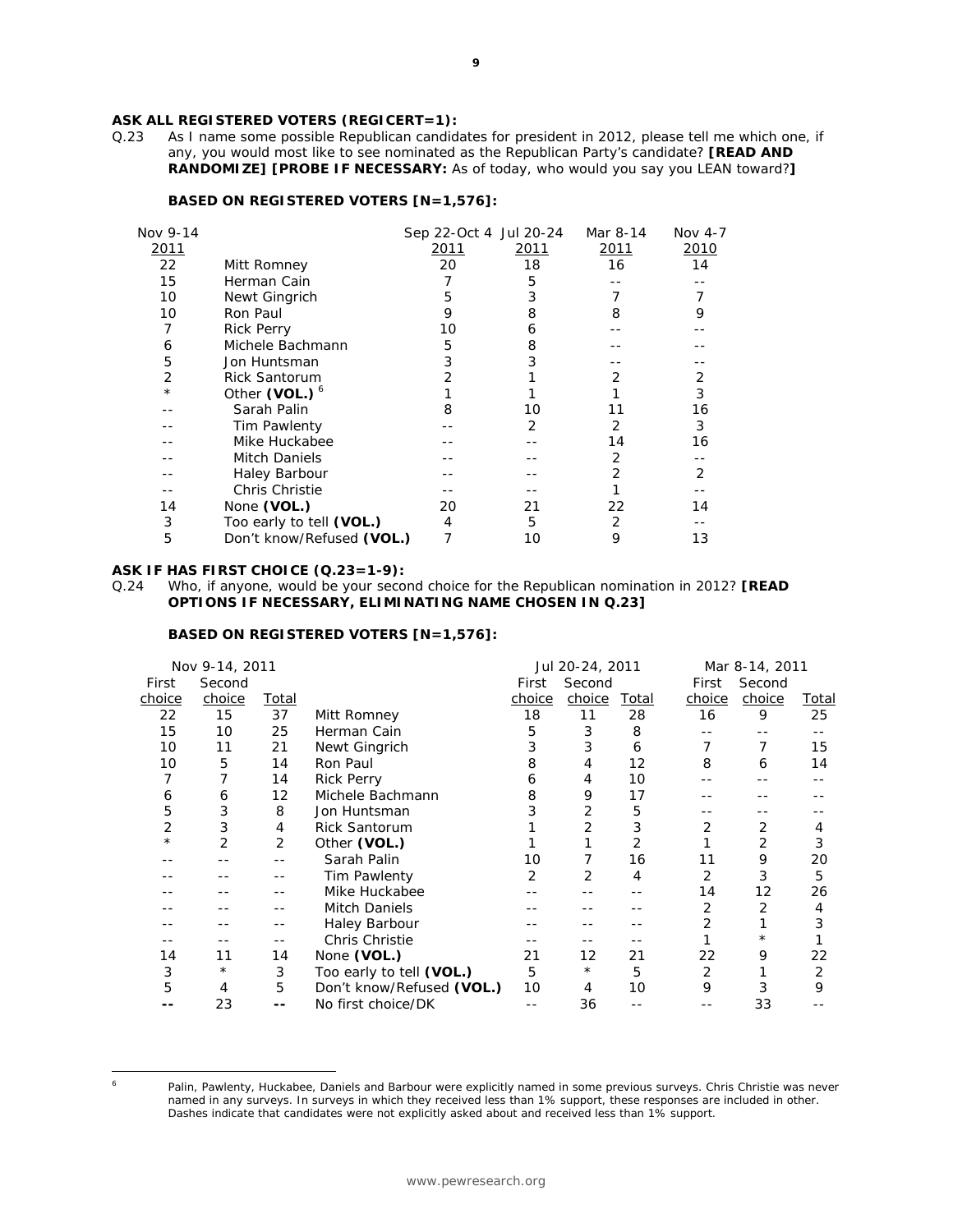# **ASK ALL REGISTERED VOTERS (REGICERT=1):**

Q.23 As I name some possible Republican candidates for president in 2012, please tell me which one, if any, you would most like to see nominated as the Republican Party's candidate? **[READ AND RANDOMIZE] [PROBE IF NECESSARY:** As of today, who would you say you LEAN toward?**]** 

#### **BASED ON REGISTERED VOTERS [N=1,576]:**

| Nov 9-14   |                           | Sep 22-Oct 4 Jul 20-24 |      | Mar 8-14 | Nov 4-7 |
|------------|---------------------------|------------------------|------|----------|---------|
| 2011       |                           | 2011                   | 2011 | 2011     | 2010    |
| 22         | Mitt Romney               | 20                     | 18   | 16       | 14      |
| 15         | Herman Cain               | 7                      | 5    |          |         |
| 10         | Newt Gingrich             | 5                      | 3    |          |         |
| 10         | Ron Paul                  | 9                      | 8    | 8        | 9       |
| 7          | <b>Rick Perry</b>         | 10                     | 6    |          |         |
| 6          | Michele Bachmann          | 5                      | 8    |          |         |
| 5          | Jon Huntsman              | 3                      | 3    |          |         |
| 2          | <b>Rick Santorum</b>      | 2                      |      | 2        | 2       |
| $^{\star}$ | Other (VOL.) <sup>6</sup> |                        |      |          | 3       |
|            | Sarah Palin               | 8                      | 10   | 11       | 16      |
|            | Tim Pawlenty              |                        | 2    | 2        | 3       |
|            | Mike Huckabee             |                        |      | 14       | 16      |
|            | <b>Mitch Daniels</b>      |                        |      | 2        |         |
|            | <b>Haley Barbour</b>      |                        |      | 2        | 2       |
|            | Chris Christie            |                        |      |          |         |
| 14         | None (VOL.)               | 20                     | 21   | 22       | 14      |
| 3          | Too early to tell (VOL.)  | 4                      | 5    | 2        |         |
| 5          | Don't know/Refused (VOL.) | 7                      | 10   | 9        | 13      |

### **ASK IF HAS FIRST CHOICE (Q.23=1-9):**

Q.24 Who, if anyone, would be your second choice for the Republican nomination in 2012? **[READ OPTIONS IF NECESSARY, ELIMINATING NAME CHOSEN IN Q.23]** 

# **BASED ON REGISTERED VOTERS [N=1,576]:**

|            | Nov 9-14, 2011 |              |                           |        | Jul 20-24, 2011 |                |        | Mar 8-14, 2011 |       |
|------------|----------------|--------------|---------------------------|--------|-----------------|----------------|--------|----------------|-------|
| First      | Second         |              |                           | First  | Second          |                | First  | Second         |       |
| choice     | choice         | <b>Total</b> |                           | choice | choice          | Total          | choice | choice         | Total |
| 22         | 15             | 37           | Mitt Romney               | 18     | 11              | 28             | 16     | 9              | 25    |
| 15         | 10             | 25           | Herman Cain               | 5      | 3               | 8              |        |                |       |
| 10         | 11             | 21           | Newt Gingrich             | 3      | 3               | 6              |        |                | 15    |
| 10         | 5              | 14           | Ron Paul                  | 8      | 4               | 12             | 8      | 6              | 14    |
|            |                | 14           | <b>Rick Perry</b>         | 6      | 4               | 10             |        |                |       |
| 6          | 6              | 12           | Michele Bachmann          | 8      | 9               | 17             |        |                |       |
| 5          | 3              | 8            | Jon Huntsman              |        | 2               | 5              |        |                |       |
| 2          | 3              | 4            | <b>Rick Santorum</b>      |        |                 | 3              | 2      | 2              | 4     |
| $^{\star}$ | 2              | 2            | Other (VOL.)              |        |                 | $\overline{2}$ |        | 2              | 3     |
|            |                | --           | Sarah Palin               | 10     |                 | 16             | 11     | 9              | 20    |
|            |                | --           | Tim Pawlenty              | 2      | 2               | 4              | 2      | 3              | 5     |
|            |                | --           | Mike Huckabee             |        |                 |                | 14     | 12             | 26    |
|            |                | --           | <b>Mitch Daniels</b>      |        |                 |                | 2      | 2              | 4     |
|            |                |              | Haley Barbour             |        |                 |                | 2      |                | 3     |
|            |                | --           | Chris Christie            |        |                 |                |        | $^\star$       |       |
| 14         | 11             | 14           | None (VOL.)               | 21     | 12              | 21             | 22     | 9              | 22    |
| 3          | $^\star$       | 3            | Too early to tell (VOL.)  | 5      | $^\star$        | 5              | 2      |                | 2     |
| 5          | 4              | 5            | Don't know/Refused (VOL.) | 10     | 4               | 10             | 9      | 3              | 9     |
|            | 23             | --           | No first choice/DK        | --     | 36              |                |        | 33             |       |
|            |                |              |                           |        |                 |                |        |                |       |

 $\overline{a}$ 

Palin, Pawlenty, Huckabee, Daniels and Barbour were explicitly named in some previous surveys. Chris Christie was never named in any surveys. In surveys in which they received less than 1% support, these responses are included in other. Dashes indicate that candidates were not explicitly asked about and received less than 1% support.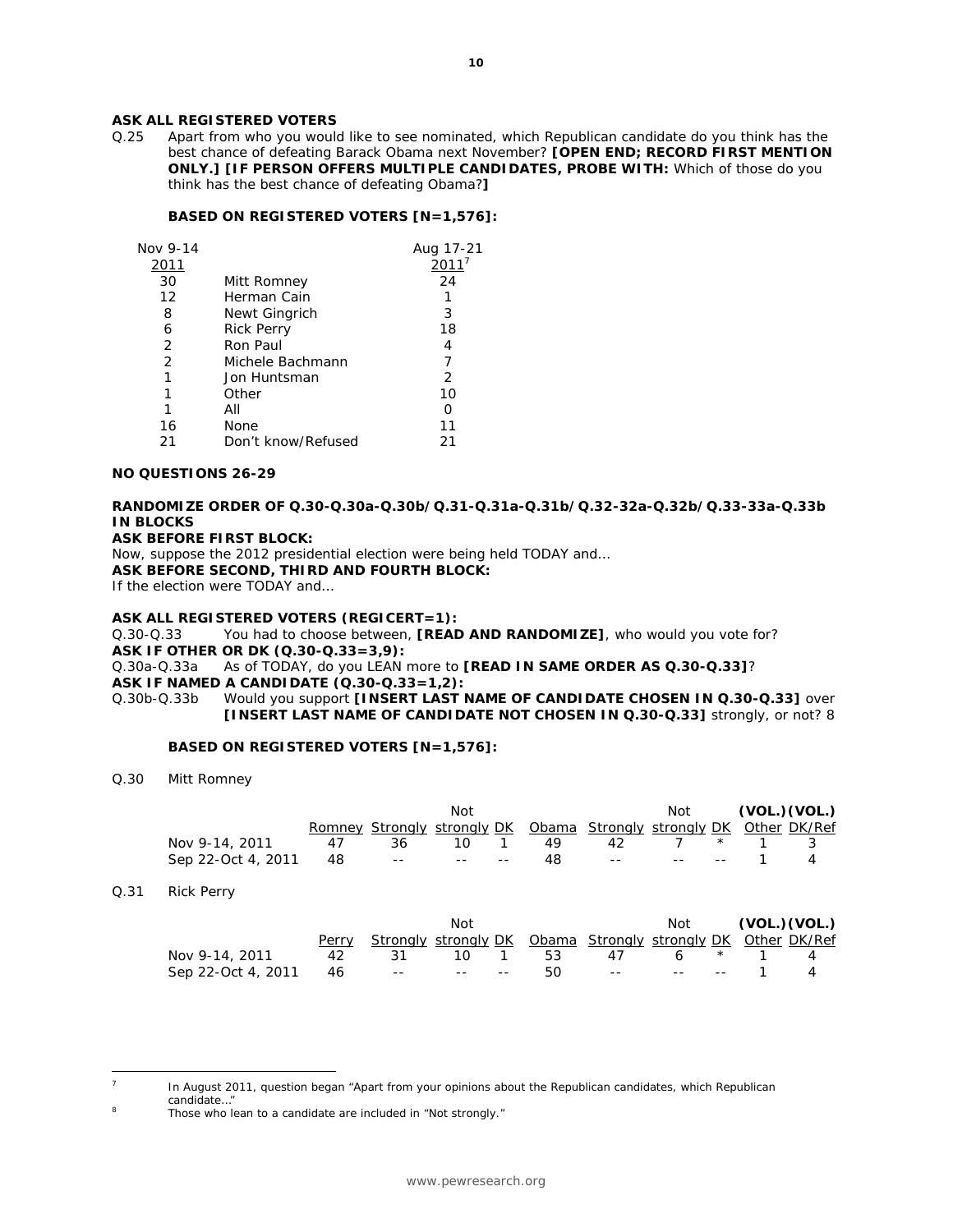## **ASK ALL REGISTERED VOTERS**

Q.25 Apart from who you would like to see nominated, which Republican candidate do you think has the best chance of defeating Barack Obama next November? **[OPEN END; RECORD FIRST MENTION ONLY.] [IF PERSON OFFERS MULTIPLE CANDIDATES, PROBE WITH:** Which of those do you think has the best chance of defeating Obama?**]** 

#### **BASED ON REGISTERED VOTERS [N=1,576]:**

| Nov 9-14 |                    | Aug 17-21 |
|----------|--------------------|-----------|
| 2011     |                    |           |
| 30       | Mitt Romney        | 24        |
| 12       | Herman Cain        |           |
| 8        | Newt Gingrich      | 3         |
| 6        | <b>Rick Perry</b>  | 18        |
| 2        | Ron Paul           |           |
| 2        | Michele Bachmann   |           |
| 1        | Jon Huntsman       | 2         |
|          | Other              | 10        |
|          | All                |           |
| 16       | None               | 11        |
| 21       | Don't know/Refused | 21        |

#### **NO QUESTIONS 26-29**

#### **RANDOMIZE ORDER OF Q.30-Q.30a-Q.30b/Q.31-Q.31a-Q.31b/Q.32-32a-Q.32b/Q.33-33a-Q.33b IN BLOCKS ASK BEFORE FIRST BLOCK:**

Now, suppose the 2012 presidential election were being held TODAY and…

**ASK BEFORE SECOND, THIRD AND FOURTH BLOCK:** 

If the election were TODAY and…

#### **ASK ALL REGISTERED VOTERS (REGICERT=1):**

Q.30-Q.33 You had to choose between, **[READ AND RANDOMIZE]**, who would you vote for? **ASK IF OTHER OR DK (Q.30-Q.33=3,9):** 

Q.30a-Q.33a As of TODAY, do you LEAN more to **[READ IN SAME ORDER AS Q.30-Q.33]**? **ASK IF NAMED A CANDIDATE (Q.30-Q.33=1,2):** 

Q.30b-Q.33b Would you support **[INSERT LAST NAME OF CANDIDATE CHOSEN IN Q.30-Q.33]** over **[INSERT LAST NAME OF CANDIDATE NOT CHOSEN IN Q.30-Q.33]** strongly, or not? 8

#### **BASED ON REGISTERED VOTERS [N=1,576]:**

Q.30 Mitt Romney

|                    |    |       | Not   |                          |     |                                                                     | Not |       | (VOL.) (VOL.) |
|--------------------|----|-------|-------|--------------------------|-----|---------------------------------------------------------------------|-----|-------|---------------|
|                    |    |       |       |                          |     | Romney Strongly strongly DK Obama Strongly strongly DK Other DK/Ref |     |       |               |
| Nov 9-14, 2011     | 47 | 36    | 10.   |                          | 49  | 42                                                                  |     | $*$ 1 |               |
| Sep 22-Oct 4, 2011 | 48 | $- -$ | $- -$ | $\overline{\phantom{m}}$ | 48. | $\sim$ $ \sim$                                                      |     |       |               |

Q.31 Rick Perry

|                                  |    |                                                                     | Not |         |                 |  |         | $Not$ (VOL.)(VOL.) |
|----------------------------------|----|---------------------------------------------------------------------|-----|---------|-----------------|--|---------|--------------------|
|                                  |    | <u>Strongly strongly DK Obama Strongly strongly DK Other DK/Ref</u> |     |         |                 |  |         |                    |
| Nov 9-14, 2011                   | 42 | - 31 -                                                              |     | 10 1 53 | 47              |  | 6 * 1 4 |                    |
| Sep 22-Oct 4, 2011 46 -- - -- -- |    |                                                                     |     | 50.     | -- -- -- -- 1 4 |  |         |                    |

 $\overline{a}$ 

In August 2011, question began "Apart from your opinions about the Republican candidates, which Republican

candidate..."<br>Those who lean to a candidate are included in "Not strongly."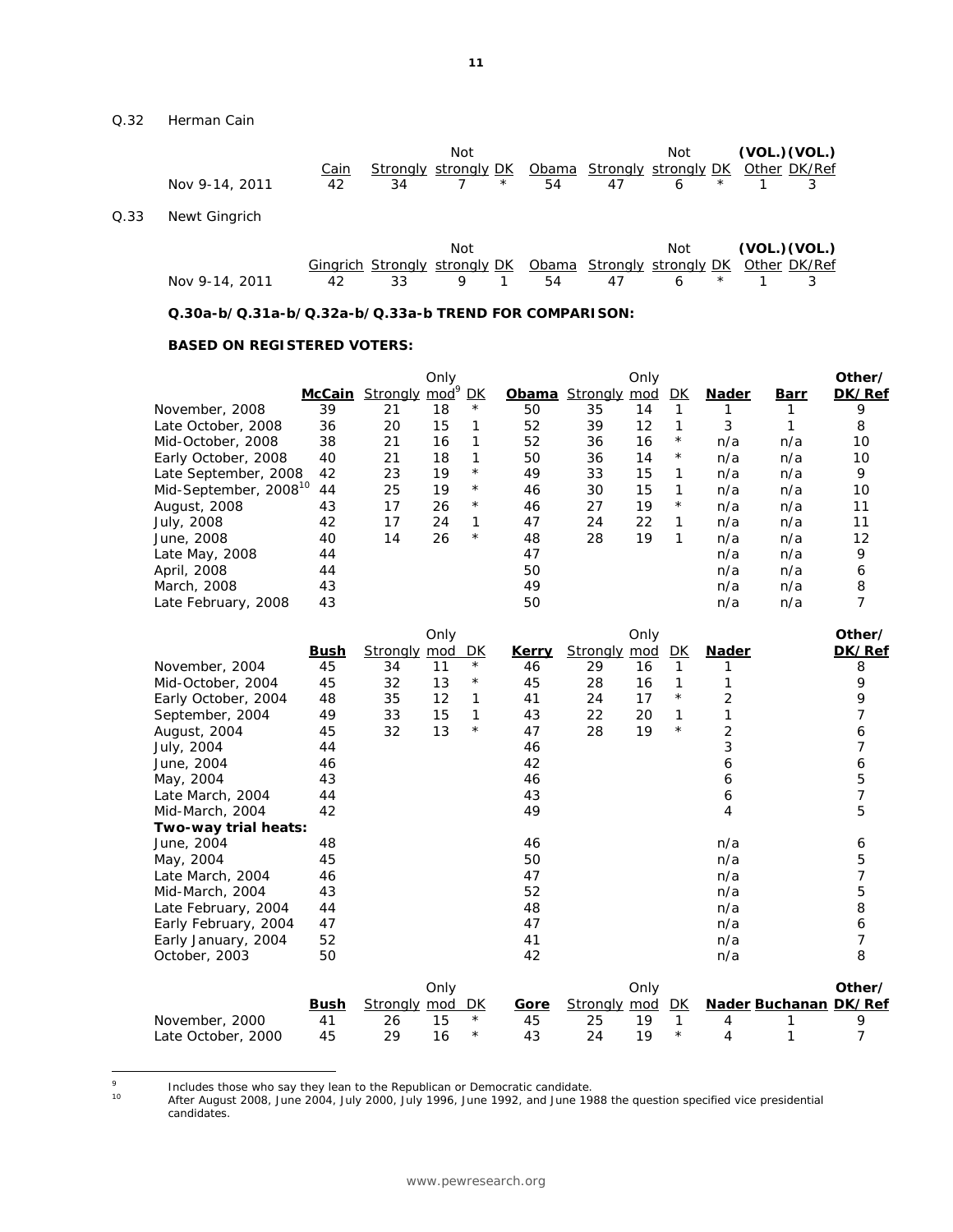Q.32 Herman Cain

 $Q.33$ 

|      |                |             | Not |                                                              |    |    | Not          |  |  | (VOL.) (VOL.) |  |  |
|------|----------------|-------------|-----|--------------------------------------------------------------|----|----|--------------|--|--|---------------|--|--|
|      |                | <u>Cain</u> |     | Strongly strongly DK Obama Strongly strongly DK Other DK/Ref |    |    |              |  |  |               |  |  |
|      | Nov 9-14, 2011 | 42          | 34  | $\star$                                                      | 54 | 47 | $\star$<br>6 |  |  |               |  |  |
| Q.33 | Newt Gingrich  |             |     |                                                              |    |    |              |  |  |               |  |  |

|                |  | Not                                                                          |  |  |  | $Not$ (VOL.)(VOL.) |
|----------------|--|------------------------------------------------------------------------------|--|--|--|--------------------|
|                |  | <b>Gingrich Strongly strongly DK</b> Obama Strongly strongly DK Other DK/Ref |  |  |  |                    |
| Nov 9-14, 2011 |  | 42 33 9 1 54 47 6 * 1 3                                                      |  |  |  |                    |

 **Q.30a-b/Q.31a-b/Q.32a-b/Q.33a-b TREND FOR COMPARISON:** 

#### **BASED ON REGISTERED VOTERS:**

|                                   |        | Strongly mod <sup>9</sup> | Only |            |       |              | Only |          |              |      | Other/ |
|-----------------------------------|--------|---------------------------|------|------------|-------|--------------|------|----------|--------------|------|--------|
|                                   | McCain |                           |      | DК         | Obama | Strongly mod |      | DK       | <b>Nader</b> | Barr | DK/Ref |
| November, 2008                    | 39     | 21                        | 18   | $^{\star}$ | 50    | 35           | 14   |          |              |      | 9      |
| Late October, 2008                | 36     | 20                        | 15   |            | 52    | 39           | 12   |          | 3            |      | 8      |
| Mid-October, 2008                 | 38     | 21                        | 16   |            | 52    | 36           | 16   | $^\star$ | n/a          | n/a  | 10     |
| Early October, 2008               | 40     | 21                        | 18   |            | 50    | 36           | 14   | $^\star$ | n/a          | n/a  | 10     |
| Late September, 2008              | 42     | 23                        | 19   | $\star$    | 49    | 33           | 15   | 1        | n/a          | n/a  | 9      |
| Mid-September, 2008 <sup>10</sup> | 44     | 25                        | 19   | $^\star$   | 46    | 30           | 15   | 1        | n/a          | n/a  | 10     |
| August, 2008                      | 43     | 17                        | 26   | $^{\star}$ | 46    | 27           | 19   | $^\star$ | n/a          | n/a  | 11     |
| July, 2008                        | 42     | 17                        | 24   | 1          | 47    | 24           | 22   | 1        | n/a          | n/a  | 11     |
| June, 2008                        | 40     | 14                        | 26   | $^{\star}$ | 48    | 28           | 19   | 1        | n/a          | n/a  | 12     |
| Late May, 2008                    | 44     |                           |      |            | 47    |              |      |          | n/a          | n/a  | 9      |
| April, 2008                       | 44     |                           |      |            | 50    |              |      |          | n/a          | n/a  | 6      |
| March, 2008                       | 43     |                           |      |            | 49    |              |      |          | n/a          | n/a  | 8      |
| Late February, 2008               | 43     |                           |      |            | 50    |              |      |          | n/a          | n/a  |        |

|                      |             |                 | Only |            |              |                 | Only       |              |                              | Other/ |
|----------------------|-------------|-----------------|------|------------|--------------|-----------------|------------|--------------|------------------------------|--------|
|                      | <u>Bush</u> | <u>Stronaly</u> | mod  | <u>DК</u>  | <u>Kerry</u> | <b>Strongly</b> | <u>mod</u> | <u>DК</u>    | <u>Nader</u>                 | DK/Ref |
| November, 2004       | 45          | 34              | 11   | $^{\star}$ | 46           | 29              | 16         | $\mathcal I$ |                              | 8      |
| Mid-October, 2004    | 45          | 32              | 13   | $^\star$   | 45           | 28              | 16         | $\mathcal I$ |                              | 9      |
| Early October, 2004  | 48          | 35              | 12   | 1          | 41           | 24              | 17         | $^{\star}$   | 2                            | 9      |
| September, 2004      | 49          | 33              | 15   | 1          | 43           | 22              | 20         | $\mathcal I$ |                              |        |
| August, 2004         | 45          | 32              | 13   | $^{\star}$ | 47           | 28              | 19         | $^{\star}$   | $\overline{c}$               | 6      |
| July, 2004           | 44          |                 |      |            | 46           |                 |            |              | 3                            | 7      |
| June, 2004           | 46          |                 |      |            | 42           |                 |            |              | 6                            | 6      |
| May, 2004            | 43          |                 |      |            | 46           |                 |            |              | 6                            | 5      |
| Late March, 2004     | 44          |                 |      |            | 43           |                 |            |              | 6                            | 7      |
| Mid-March, 2004      | 42          |                 |      |            | 49           |                 |            |              | 4                            | 5      |
| Two-way trial heats: |             |                 |      |            |              |                 |            |              |                              |        |
| June, 2004           | 48          |                 |      |            | 46           |                 |            |              | n/a                          | 6      |
| May, 2004            | 45          |                 |      |            | 50           |                 |            |              | n/a                          | 5      |
| Late March, 2004     | 46          |                 |      |            | 47           |                 |            |              | n/a                          | 7      |
| Mid-March, 2004      | 43          |                 |      |            | 52           |                 |            |              | n/a                          | 5      |
| Late February, 2004  | 44          |                 |      |            | 48           |                 |            |              | n/a                          | 8      |
| Early February, 2004 | 47          |                 |      |            | 47           |                 |            |              | n/a                          | 6      |
| Early January, 2004  | 52          |                 |      |            | 41           |                 |            |              | n/a                          |        |
| October, 2003        | 50          |                 |      |            | 42           |                 |            |              | n/a                          | 8      |
|                      |             |                 | Only |            |              |                 | Only       |              |                              | Other/ |
|                      | <u>Bush</u> | <b>Strongly</b> | mod  | DK         | <u>Gore</u>  | <u>Strongly</u> | <u>mod</u> | DK           | <b>Nader Buchanan DK/Ref</b> |        |
| November, 2000       | 41          | 26              | 15   | $^\star$   | 45           | 25              | 19         | 1            | 4                            | 9      |
| Late October, 2000   | 45          | 29              | 16   | *          | 43           | 24              | 19         | $^\star$     | 4                            |        |

<sup>-&</sup>lt;br>9

<sup>&</sup>lt;sup>9</sup> Includes those who say they lean to the Republican or Democratic candidate.<br><sup>10</sup> After August 2008, June 2004, July 2000, July 1996, June 1992, and June 1988 the question specified vice presidential candidates.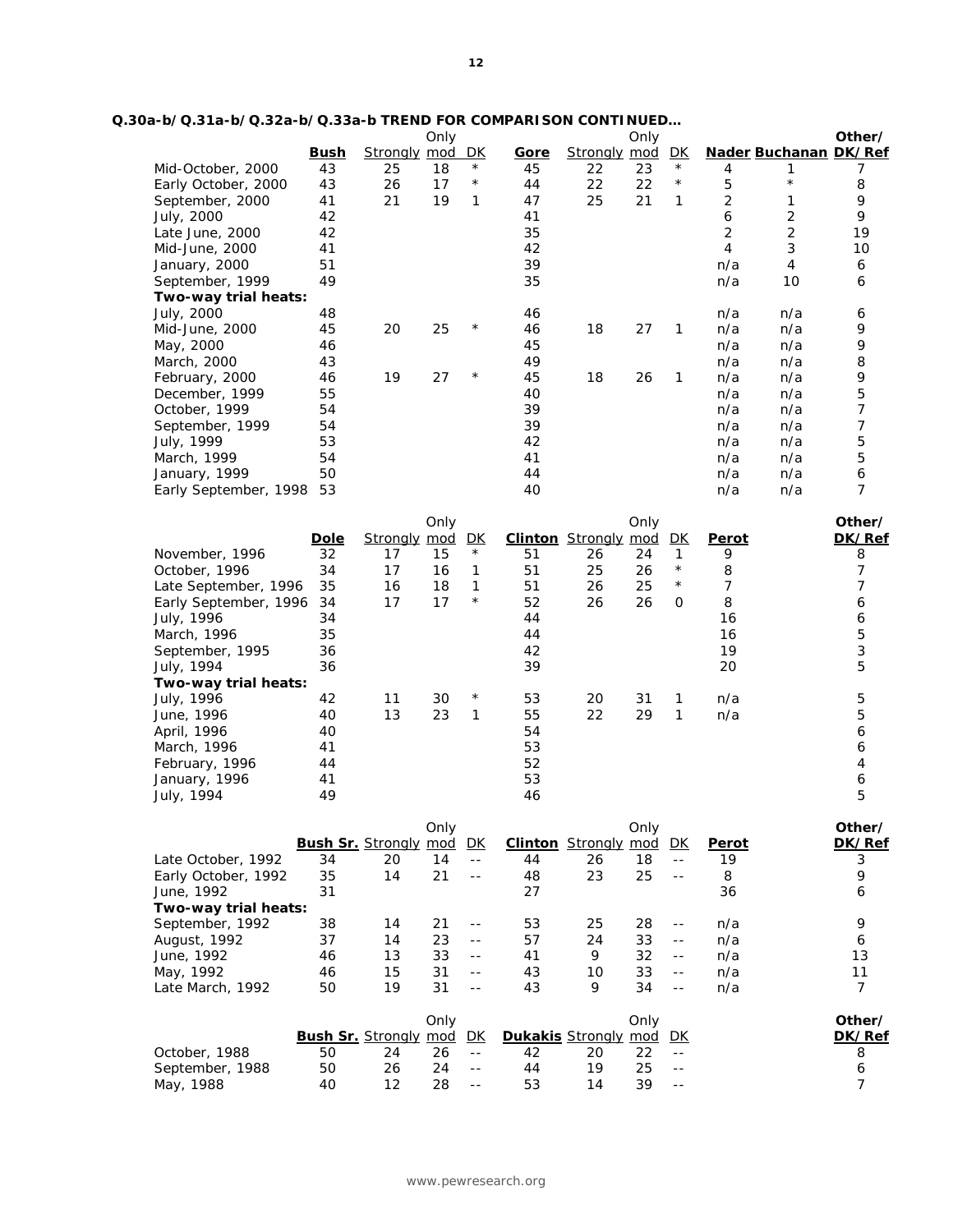| Q.30a-b/Q.31a-b/Q.32a-b/Q.33a-b TREND FOR COMPARI SON CONTINUED |
|-----------------------------------------------------------------|
|-----------------------------------------------------------------|

|                                    |             |                                 | Only |                            |             |                         | Only |                          |                |                       | Other/           |
|------------------------------------|-------------|---------------------------------|------|----------------------------|-------------|-------------------------|------|--------------------------|----------------|-----------------------|------------------|
|                                    | <b>Bush</b> | <b>Strongly mod DK</b>          |      |                            | <u>Gore</u> | Strongly mod DK         |      |                          |                | Nader Buchanan DK/Ref |                  |
| Mid-October, 2000                  | 43          | 25                              | 18   | $^{\star}$                 | 45          | 22                      | 23   | $\star$                  | 4              | 1                     | 7                |
| Early October, 2000                | 43          | 26                              | 17   | $^{\star}$                 | 44          | 22                      | 22   | $\star$                  | 5              | $\star$               | 8                |
| September, 2000                    | 41          | 21                              | 19   | $\mathcal{I}$              | 47          | 25                      | 21   | $\mathcal{I}$            | 2              | 1                     | 9                |
| July, 2000                         | 42          |                                 |      |                            | 41          |                         |      |                          | 6              | $\overline{c}$        | 9                |
| Late June, 2000                    | 42          |                                 |      |                            | 35          |                         |      |                          | 2              | 2                     | 19               |
| Mid-June, 2000                     | 41          |                                 |      |                            | 42          |                         |      |                          | $\overline{4}$ | 3                     | 10               |
| January, 2000                      | 51          |                                 |      |                            | 39          |                         |      |                          | n/a            | $\overline{4}$        | 6                |
| September, 1999                    | 49          |                                 |      |                            | 35          |                         |      |                          | n/a            | 10                    | 6                |
| Two-way trial heats:               |             |                                 |      |                            |             |                         |      |                          |                |                       |                  |
| July, 2000                         | 48          |                                 |      |                            | 46          |                         |      |                          | n/a            | n/a                   | 6                |
| Mid-June, 2000                     | 45          | 20                              | 25   | $^\star$                   | 46          | 18                      | 27   | 1                        | n/a            | n/a                   | 9                |
| May, 2000                          | 46          |                                 |      |                            | 45          |                         |      |                          | n/a            | n/a                   | 9                |
| March, 2000                        | 43          |                                 |      |                            | 49          |                         |      |                          | n/a            | n/a                   | 8                |
| February, 2000                     | 46          | 19                              | 27   | $^{\star}$                 | 45          | 18                      | 26   | 1                        | n/a            | n/a                   | 9                |
| December, 1999                     | 55          |                                 |      |                            | 40          |                         |      |                          | n/a            | n/a                   | 5                |
| October, 1999                      | 54          |                                 |      |                            | 39          |                         |      |                          | n/a            | n/a                   | $\overline{7}$   |
| September, 1999                    | 54          |                                 |      |                            | 39          |                         |      |                          | n/a            | n/a                   | 7                |
| July, 1999                         | 53          |                                 |      |                            | 42          |                         |      |                          | n/a            | n/a                   | 5                |
| March, 1999                        | 54          |                                 |      |                            | 41          |                         |      |                          | n/a            | n/a                   | 5                |
| January, 1999                      | 50          |                                 |      |                            | 44          |                         |      |                          | n/a            | n/a                   | 6                |
| Early September, 1998              | 53          |                                 |      |                            | 40          |                         |      |                          | n/a            | n/a                   | 7                |
|                                    |             |                                 |      |                            |             |                         |      |                          |                |                       |                  |
|                                    |             |                                 | Only |                            |             |                         | Only |                          |                |                       | Other/           |
|                                    | <b>Dole</b> | <b>Strongly mod DK</b>          |      |                            |             | <b>Clinton</b> Strongly | mod  | <u>DК</u>                | <b>Perot</b>   |                       | DK/Ref           |
| November, 1996                     | 32          | 17                              | 15   | $^{\star}$                 | 51          | 26                      | 24   | $\mathcal{I}$            | 9              |                       | 8                |
| October, 1996                      | 34          | 17                              | 16   | $\mathcal I$               | 51          | 25                      | 26   | $\star$                  | 8              |                       | 7                |
| Late September, 1996               | 35          | 16                              | 18   | $\mathcal I$               | 51          | 26                      | 25   | $^{\star}$               | 7              |                       | 7                |
| Early September, 1996              | 34          | 17                              | 17   | $^{\star}$                 | 52          | 26                      | 26   | 0                        | 8              |                       | 6                |
| July, 1996                         | 34          |                                 |      |                            | 44          |                         |      |                          | 16             |                       | 6                |
| March, 1996                        | 35          |                                 |      |                            | 44          |                         |      |                          | 16             |                       | 5                |
| September, 1995                    | 36          |                                 |      |                            | 42          |                         |      |                          | 19             |                       | 3                |
| July, 1994                         | 36          |                                 |      |                            | 39          |                         |      |                          | 20             |                       | 5                |
| Two-way trial heats:               |             |                                 |      |                            |             |                         |      |                          |                |                       |                  |
| July, 1996                         | 42          | 11                              | 30   | $^{\star}$                 | 53          | 20                      | 31   | 1                        | n/a            |                       | 5                |
| June, 1996                         | 40          | 13                              | 23   | $\mathcal{I}$              | 55          | 22                      | 29   | $\mathcal{I}$            | n/a            |                       | 5                |
| April, 1996                        | 40          |                                 |      |                            | 54          |                         |      |                          |                |                       | 6                |
| March, 1996                        | 41          |                                 |      |                            | 53          |                         |      |                          |                |                       | 6                |
| February, 1996                     | 44          |                                 |      |                            | 52          |                         |      |                          |                |                       | $\overline{4}$   |
| January, 1996                      | 41          |                                 |      |                            | 53          |                         |      |                          |                |                       | 6                |
| July, 1994                         | 49          |                                 |      |                            | 46          |                         |      |                          |                |                       | 5                |
|                                    |             |                                 |      |                            |             |                         |      |                          |                |                       |                  |
|                                    |             | <b>Bush Sr.</b> Strongly mod DK | Only |                            |             | Clinton Strongly mod DK | Only |                          | <b>Perot</b>   |                       | Other/<br>DK/Ref |
| Late October, 1992                 | 34          | 20                              | 14   | $\overline{\phantom{a}}$ . | 44          | 26                      | 18   | $- -$                    | 19             |                       | 3                |
|                                    | 35          | 14                              | 21   | $- -$                      | 48          | 23                      | 25   | $\overline{\phantom{a}}$ | 8              |                       | 9                |
| Early October, 1992                | 31          |                                 |      |                            |             |                         |      |                          | 36             |                       | 6                |
| June, 1992<br>Two-way trial heats: |             |                                 |      |                            | 27          |                         |      |                          |                |                       |                  |
|                                    |             |                                 |      |                            |             |                         |      |                          |                |                       |                  |
| September, 1992                    | 38          | 14                              | 21   | $- -$                      | 53          | 25                      | 28   | $- -$                    | n/a            |                       | 9                |
| August, 1992                       | 37          | 14                              | 23   | $\sim$ $-$                 | 57          | 24                      | 33   | $- -$                    | n/a            |                       | 6                |
| June, 1992                         | 46          | 13                              | 33   | $- -$                      | 41          | 9                       | 32   | $ -$                     | n/a            |                       | 13               |
| May, 1992                          | 46          | 15                              | 31   | $- -$                      | 43          | 10                      | 33   | $ -$                     | n/a            |                       | 11               |
| Late March, 1992                   | 50          | 19                              | 31   | $- -$                      | 43          | 9                       | 34   | $-$                      | n/a            |                       | 7                |
|                                    |             |                                 | Only |                            |             |                         | Only |                          |                |                       | Other/           |
|                                    |             |                                 |      |                            |             |                         |      |                          |                |                       |                  |

|                 |                                 |    | אווט |       |                                |    | <i>UHR</i> |       | <b>Utiler</b> |
|-----------------|---------------------------------|----|------|-------|--------------------------------|----|------------|-------|---------------|
|                 | <b>Bush Sr.</b> Strongly mod DK |    |      |       | <b>Dukakis</b> Strongly mod DK |    |            |       | DK/Ref        |
| October, 1988   | 50                              |    | 26   | $- -$ |                                |    |            | $- -$ |               |
| September, 1988 | 50                              | 26 | 24   | $- -$ | 44                             | 19 | 25         | $- -$ |               |
| 1988<br>May,    | 40                              |    | 28   | $- -$ | 53                             | 14 |            | $- -$ |               |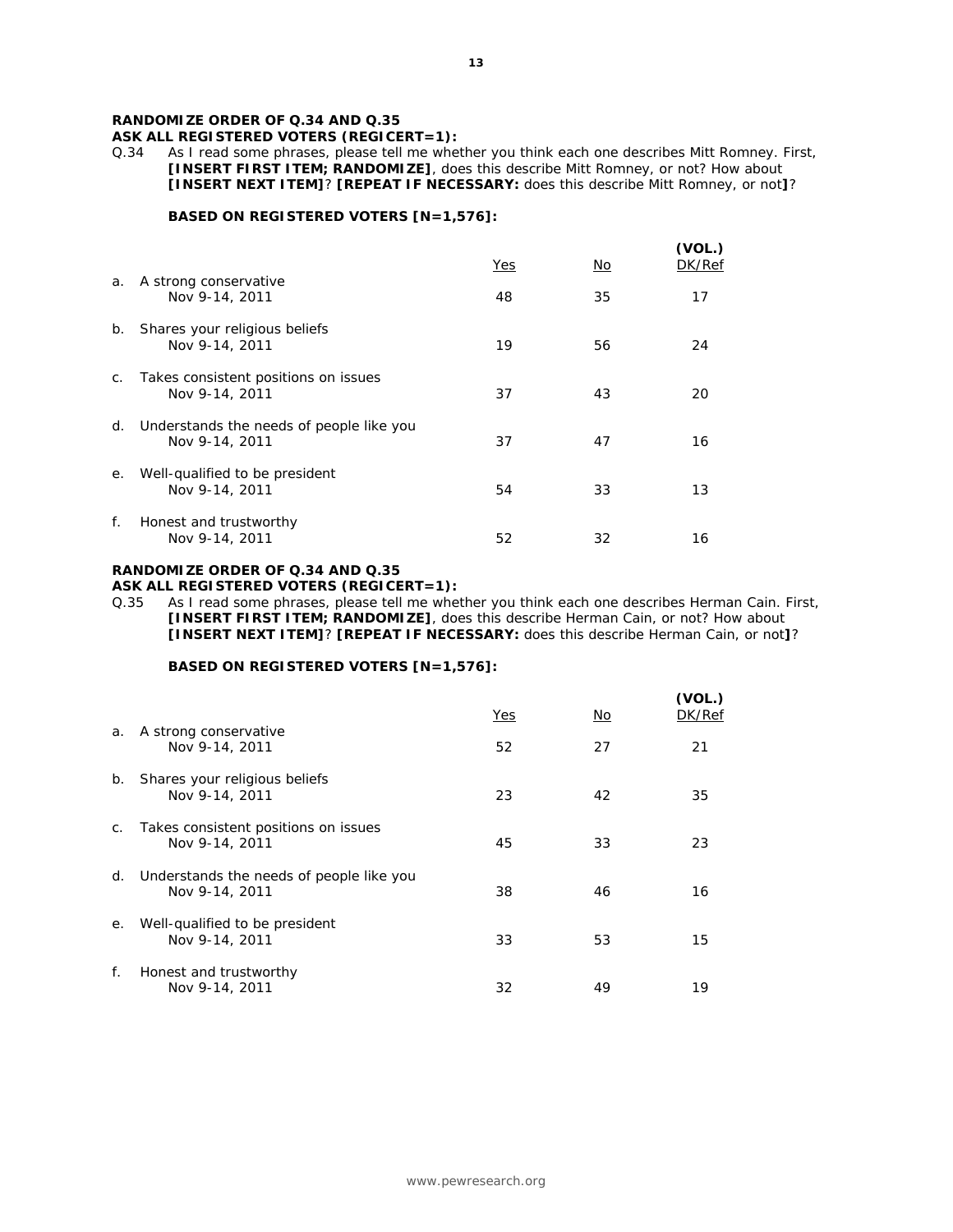ASK ALL REGISTERED VOTERS (REGICERT=1):<br>Q.34 As I read some phrases, please tell me whe

As I read some phrases, please tell me whether you think each one describes Mitt Romney. First, **[INSERT FIRST ITEM; RANDOMIZE]**, does this describe Mitt Romney, or not? How about **[INSERT NEXT ITEM]**? **[REPEAT IF NECESSARY:** does this describe Mitt Romney, or not**]**?

#### **BASED ON REGISTERED VOTERS [N=1,576]:**

|         |                                                            | Yes | No. | (VOL.)<br>DK/Ref |
|---------|------------------------------------------------------------|-----|-----|------------------|
| a.      | A strong conservative<br>Nov 9-14, 2011                    | 48  | 35  | 17               |
| b.      | Shares your religious beliefs<br>Nov 9-14, 2011            | 19  | 56  | 24               |
| $C_{1}$ | Takes consistent positions on issues<br>Nov 9-14, 2011     | 37  | 43  | 20               |
| d.      | Understands the needs of people like you<br>Nov 9-14, 2011 | 37  | 47  | 16               |
| е.      | Well-qualified to be president<br>Nov 9-14, 2011           | 54  | 33  | 13               |
| f.      | Honest and trustworthy<br>Nov 9-14, 2011                   | 52  | 32  | 16               |

#### **RANDOMIZE ORDER OF Q.34 AND Q.35 ASK ALL REGISTERED VOTERS (REGICERT=1):**

Q.35 As I read some phrases, please tell me whether you think each one describes Herman Cain. First, **[INSERT FIRST ITEM; RANDOMIZE]**, does this describe Herman Cain, or not? How about **[INSERT NEXT ITEM]**? **[REPEAT IF NECESSARY:** does this describe Herman Cain, or not**]**?

# **BASED ON REGISTERED VOTERS [N=1,576]:**

|    |                                                            | <u>Yes</u> | No. | (VOL.)<br>DK/Ref |
|----|------------------------------------------------------------|------------|-----|------------------|
| a. | A strong conservative<br>Nov 9-14, 2011                    | 52         | 27  | 21               |
| b. | Shares your religious beliefs<br>Nov 9-14, 2011            | 23         | 42  | 35               |
| C. | Takes consistent positions on issues<br>Nov 9-14, 2011     | 45         | 33  | 23               |
| d. | Understands the needs of people like you<br>Nov 9-14, 2011 | 38         | 46  | 16               |
| е. | Well-qualified to be president<br>Nov 9-14, 2011           | 33         | 53  | 15               |
| f. | Honest and trustworthy<br>Nov 9-14, 2011                   | 32         | 49  | 19               |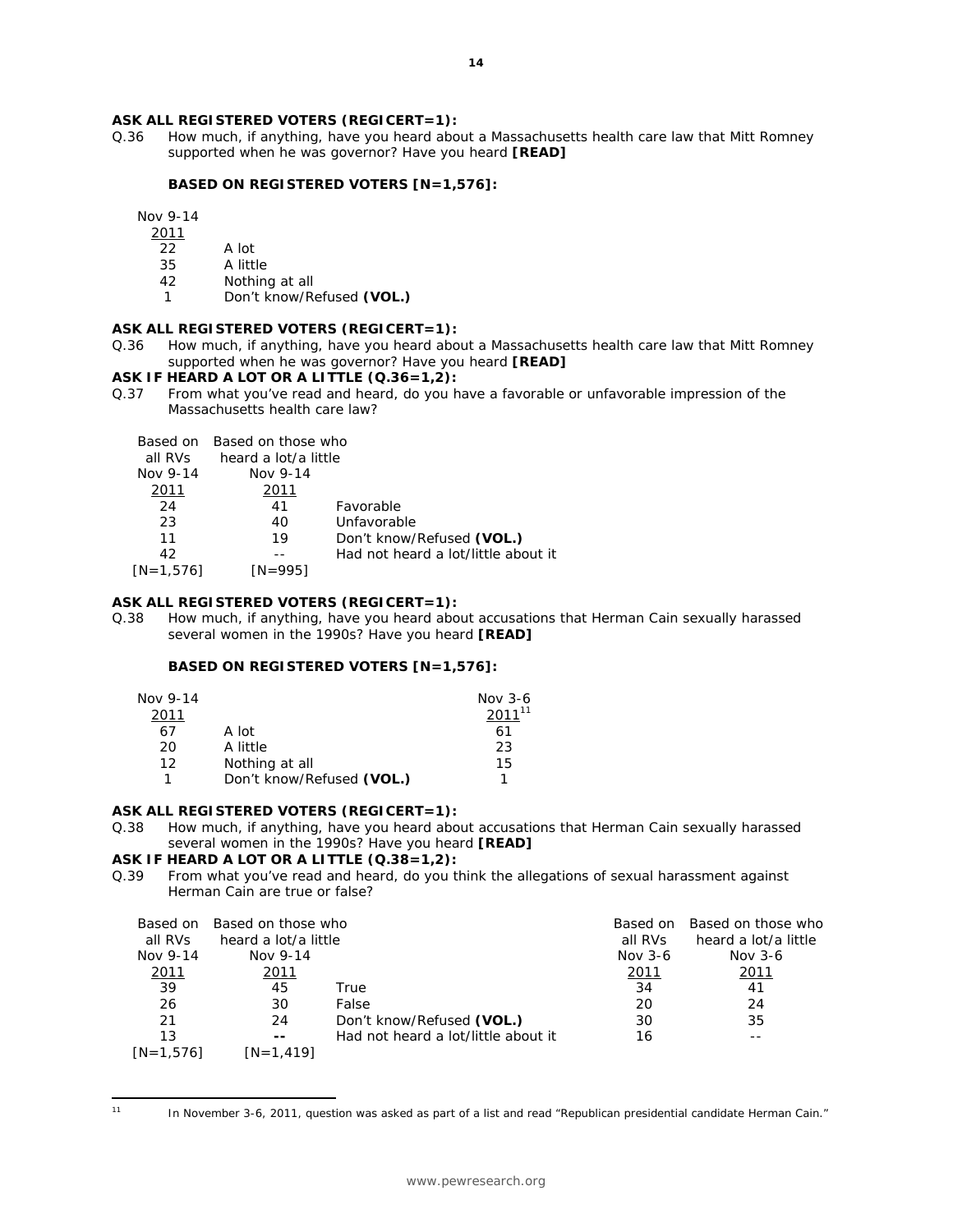#### **ASK ALL REGISTERED VOTERS (REGICERT=1):**

Q.36 How much, if anything, have you heard about a Massachusetts health care law that Mitt Romney supported when he was governor? Have you heard **[READ]**

#### **BASED ON REGISTERED VOTERS [N=1,576]:**

Nov 9-14

- 2011
- 22 A lot
- 35 A little<br>42 Nothing Nothing at all
- 1 Don't know/Refused **(VOL.)**

#### **ASK ALL REGISTERED VOTERS (REGICERT=1):**

Q.36 How much, if anything, have you heard about a Massachusetts health care law that Mitt Romney supported when he was governor? Have you heard **[READ]**

#### **ASK IF HEARD A LOT OR A LITTLE (Q.36=1,2):**

Q.37 From what you've read and heard, do you have a favorable or unfavorable impression of the Massachusetts health care law?

| all RVs<br>Nov 9-14 | Based on Based on those who<br>heard a lot/a little<br>Nov 9-14 |                                     |
|---------------------|-----------------------------------------------------------------|-------------------------------------|
| 2011                | 2011                                                            |                                     |
| 24                  | 41                                                              | <b>Favorable</b>                    |
| 23                  | 40                                                              | Unfavorable                         |
| 11                  | 19                                                              | Don't know/Refused (VOL.)           |
| 42                  |                                                                 | Had not heard a lot/little about it |
| IN=1.5761           | <i>IN=9951</i>                                                  |                                     |

# **ASK ALL REGISTERED VOTERS (REGICERT=1):**

Q.38 How much, if anything, have you heard about accusations that Herman Cain sexually harassed several women in the 1990s? Have you heard **[READ]**

## **BASED ON REGISTERED VOTERS [N=1,576]:**

| Nov 9-14 |                           | Nov $3-6$   |
|----------|---------------------------|-------------|
| 2011     |                           | $2011^{11}$ |
| 67       | A lot                     | 61          |
| 20       | A little                  | 23          |
| 12       | Nothing at all            | 15          |
|          | Don't know/Refused (VOL.) |             |

#### **ASK ALL REGISTERED VOTERS (REGICERT=1):**

Q.38 How much, if anything, have you heard about accusations that Herman Cain sexually harassed several women in the 1990s? Have you heard **[READ]**

# **ASK IF HEARD A LOT OR A LITTLE (Q.38=1,2):**

Q.39 From what you've read and heard, do you think the allegations of sexual harassment against Herman Cain are true or false?

| all RVs<br>Nov 9-14 | Based on Based on those who<br>heard a lot/a little<br>Nov 9-14 |                                     | <i>Based on</i><br>all RVs<br>Nov $3-6$ | Based on those who<br>heard a lot/a little<br>Nov $3-6$ |
|---------------------|-----------------------------------------------------------------|-------------------------------------|-----------------------------------------|---------------------------------------------------------|
| 2011                | 2011                                                            |                                     | 2011                                    | 2011                                                    |
| 39                  | 45                                                              | True                                | 34                                      | 41                                                      |
| 26                  | 30                                                              | False                               | 20                                      | 24                                                      |
| 21                  | 24                                                              | Don't know/Refused (VOL.)           | 30                                      | 35                                                      |
| 13                  | $- -$                                                           | Had not heard a lot/little about it | 16                                      |                                                         |
| $IN = 1.5761$       | $IN = 1.4191$                                                   |                                     |                                         |                                                         |

 $\overline{a}$ 

<sup>&</sup>lt;sup>11</sup> In November 3-6, 2011, question was asked as part of a list and read "Republican presidential candidate Herman Cain."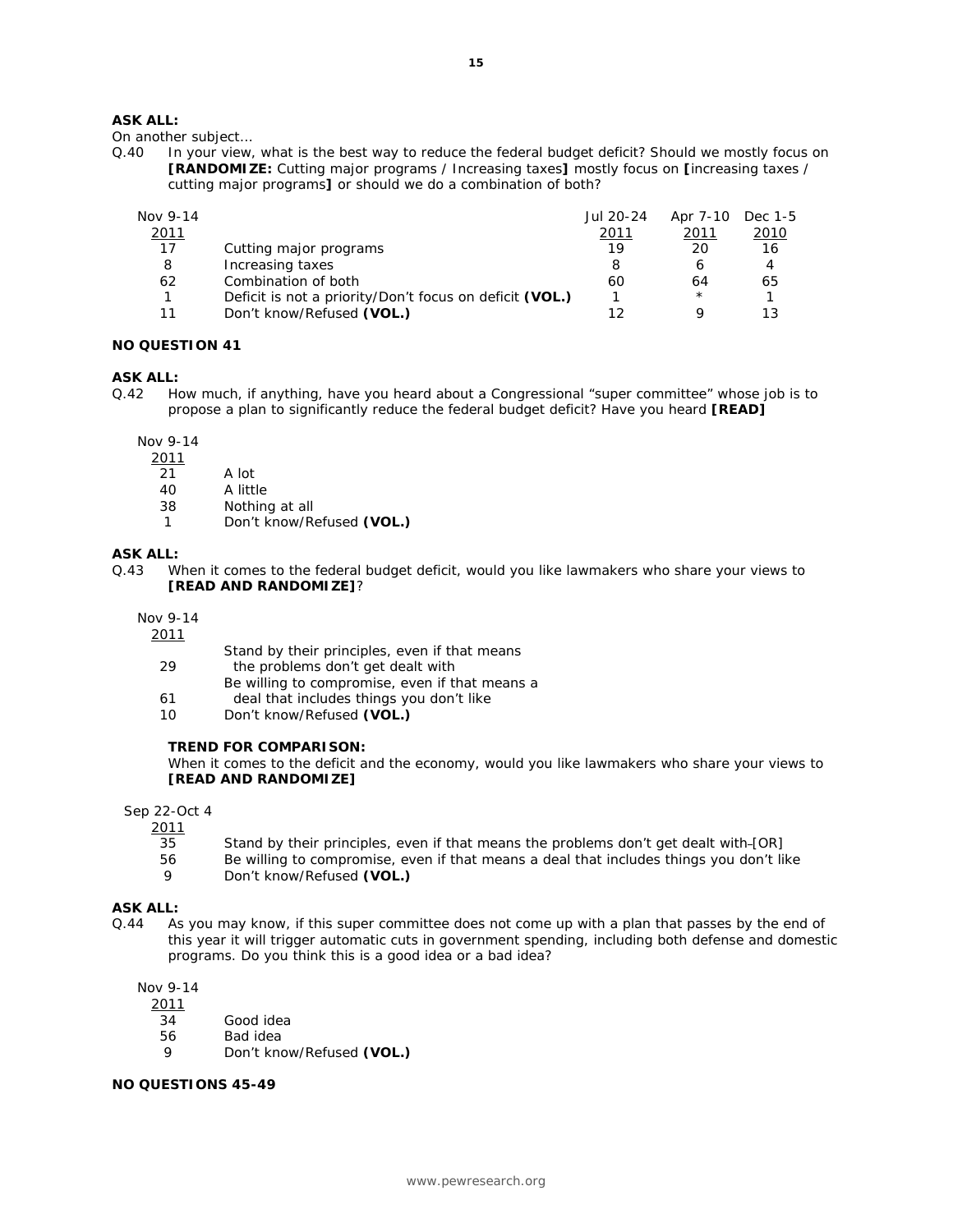On another subject…

Q.40 In your view, what is the best way to reduce the federal budget deficit? Should we mostly focus on **[RANDOMIZE:** Cutting major programs / Increasing taxes**]** mostly focus on **[**increasing taxes / cutting major programs**]** or should we do a combination of both?

| Nov 9-14 |                                                         | Jul 20-24 | Apr 7-10 Dec 1-5 |      |
|----------|---------------------------------------------------------|-----------|------------------|------|
| 2011     |                                                         | 2011      | 2011             | 2010 |
| 17       | Cutting major programs                                  | 19        | 20               | 16   |
| 8        | Increasing taxes                                        |           |                  | 4    |
| 62       | Combination of both                                     | 60        | 64               | 65   |
|          | Deficit is not a priority/Don't focus on deficit (VOL.) |           | $\star$          |      |
| 11       | Don't know/Refused (VOL.)                               |           |                  |      |

#### **NO QUESTION 41**

# **ASK ALL:**

Q.42 How much, if anything, have you heard about a Congressional "super committee" whose job is to propose a plan to significantly reduce the federal budget deficit? Have you heard **[READ]**

Nov 9-14

- 2011
- 21 A lot
- 40 A little
- 38 Nothing at all
- 1 Don't know/Refused **(VOL.)**

#### **ASK ALL:**

Q.43 When it comes to the federal budget deficit, would you like lawmakers who share your views to **[READ AND RANDOMIZE]**?

Nov 9-14

- 2011 Stand by their principles, even if that means 29 the problems don't get dealt with Be willing to compromise, even if that means a 61 deal that includes things you don't like
	- 10 Don't know/Refused **(VOL.)**

#### **TREND FOR COMPARISON:**

*When it comes to the deficit and the economy, would you like lawmakers who share your views to [READ AND RANDOMIZE]* 

Sep 22-Oct 4

- 2011
	- 35 Stand by their principles, even if that means the problems don't get dealt with [OR]
	- 56 Be willing to compromise, even if that means a deal that includes things you don't like
	- 9 Don't know/Refused **(VOL.)**

## **ASK ALL:**

Q.44 As you may know, if this super committee does not come up with a plan that passes by the end of this year it will trigger automatic cuts in government spending, including both defense and domestic programs. Do you think this is a good idea or a bad idea?

Nov 9-14

- 2011
	- 34 Good idea
	- 56 Bad idea
	- 9 Don't know/Refused **(VOL.)**

#### **NO QUESTIONS 45-49**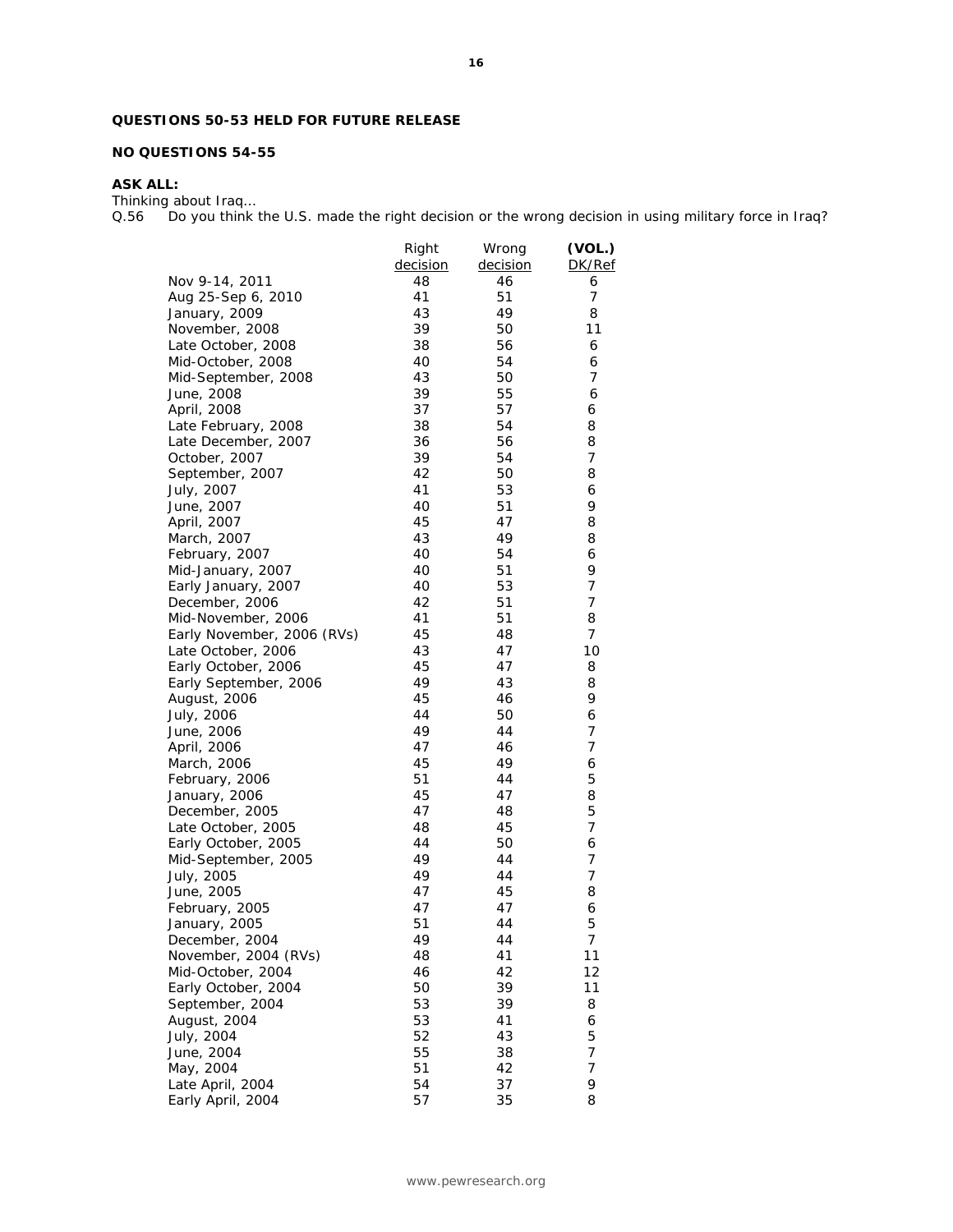# **QUESTIONS 50-53 HELD FOR FUTURE RELEASE**

## **NO QUESTIONS 54-55**

# **ASK ALL:**

Thinking about Iraq…

Q.56 Do you think the U.S. made the right decision or the wrong decision in using military force in Iraq?

|                            | Right    | Wrong    | (VOL.)         |
|----------------------------|----------|----------|----------------|
|                            | decision | decision | DK/Ref         |
| Nov 9-14, 2011             | 48       | 46       | 6              |
| Aug 25-Sep 6, 2010         | 41       | 51       | $\overline{7}$ |
| January, 2009              | 43       | 49       | 8              |
| November, 2008             | 39       | 50       | 11             |
| Late October, 2008         | 38       | 56       | 6              |
| Mid-October, 2008          | 40       | 54       | 6              |
| Mid-September, 2008        | 43       | 50       | 7              |
| June, 2008                 | 39       | 55       | 6              |
| April, 2008                | 37       | 57       | 6              |
| Late February, 2008        | 38       | 54       | 8              |
| Late December, 2007        | 36       | 56       | 8              |
| October, 2007              | 39       | 54       | 7              |
| September, 2007            | 42       | 50       | 8              |
| July, 2007                 | 41       | 53       | 6              |
| June, 2007                 | 40       | 51       | 9              |
| April, 2007                | 45       | 47       | 8              |
| March, 2007                | 43       | 49       | 8              |
|                            | 40       |          |                |
| February, 2007             | 40       | 54<br>51 | 6<br>9         |
| Mid-January, 2007          |          |          |                |
| Early January, 2007        | 40       | 53       | 7              |
| December, 2006             | 42       | 51       | 7              |
| Mid-November, 2006         | 41       | 51       | 8              |
| Early November, 2006 (RVs) | 45       | 48       | 7              |
| Late October, 2006         | 43       | 47       | 10             |
| Early October, 2006        | 45       | 47       | 8              |
| Early September, 2006      | 49       | 43       | 8              |
| August, 2006               | 45       | 46       | 9              |
| July, 2006                 | 44       | 50       | 6              |
| June, 2006                 | 49       | 44       | 7              |
| April, 2006                | 47       | 46       | 7              |
| March, 2006                | 45       | 49       | 6              |
| February, 2006             | 51       | 44       | 5              |
| January, 2006              | 45       | 47       | 8              |
| December, 2005             | 47       | 48       | 5              |
| Late October, 2005         | 48       | 45       | 7              |
| Early October, 2005        | 44       | 50       | 6              |
| Mid-September, 2005        | 49       | 44       | 7              |
| July, 2005                 | 49       | 44       | 7              |
| June, 2005                 | 47       | 45       | 8              |
| February, 2005             | 47       | 47       | 6              |
| January, 2005              | 51       | 44       | 5              |
| December, 2004             | 49       | 44       | 7              |
| November, 2004 (RVs)       | 48       | 41       | 11             |
| Mid-October, 2004          | 46       | 42       | 12             |
| Early October, 2004        | 50       | 39       | 11             |
| September, 2004            | 53       | 39       | 8              |
| August, 2004               | 53       | 41       | 6              |
| July, 2004                 | 52       | 43       | 5              |
| June, 2004                 | 55       | 38       | 7              |
| May, 2004                  | 51       | 42       | 7              |
| Late April, 2004           | 54       | 37       | 9              |
| Early April, 2004          | 57       | 35       | 8              |
|                            |          |          |                |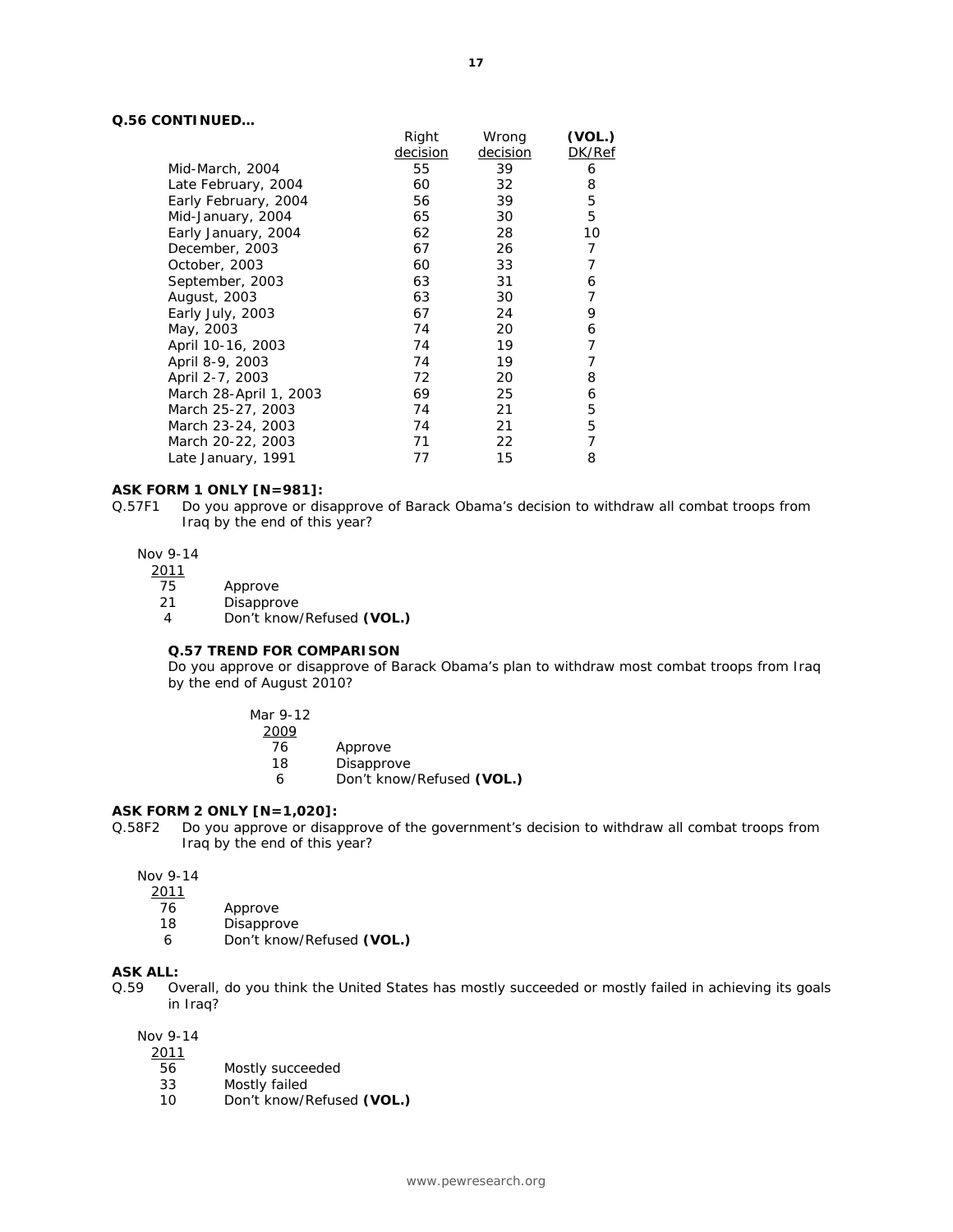## **Q.56 CONTINUED…**

|                        | Right    | Wrong    | (VOL.) |
|------------------------|----------|----------|--------|
|                        | decision | decision | DK/Ref |
| Mid-March, 2004        | 55       | 39       | 6      |
| Late February, 2004    | 60       | 32       | 8      |
| Early February, 2004   | 56       | 39       | 5      |
| Mid-January, 2004      | 65       | 30       | 5      |
| Early January, 2004    | 62       | 28       | 10     |
| December, 2003         | 67       | 26       | 7      |
| October, 2003          | 60       | 33       | 7      |
| September, 2003        | 63       | 31       | 6      |
| August, 2003           | 63       | 30       | 7      |
| Early July, 2003       | 67       | 24       | 9      |
| May, 2003              | 74       | 20       | 6      |
| April 10-16, 2003      | 74       | 19       | 7      |
| April 8-9, 2003        | 74       | 19       | 7      |
| April 2-7, 2003        | 72       | 20       | 8      |
| March 28-April 1, 2003 | 69       | 25       | 6      |
| March 25-27, 2003      | 74       | 21       | 5      |
| March 23-24, 2003      | 74       | 21       | 5      |
| March 20-22, 2003      | 71       | 22       | 7      |
| Late January, 1991     | 77       | 15       | 8      |

#### **ASK FORM 1 ONLY [N=981]:**

Q.57F1 Do you approve or disapprove of Barack Obama's decision to withdraw all combat troops from Iraq by the end of this year?

#### Nov 9-14

2011

- 75 Approve
- 21 Disapprove
- 4 Don't know/Refused **(VOL.)**

#### **Q.57 TREND FOR COMPARISON**

*Do you approve or disapprove of Barack Obama's plan to withdraw most combat troops from Iraq by the end of August 2010?* 

2009

- 76 Approve
- 18 Disapprove
- 6 Don't know/Refused **(VOL.)**

## **ASK FORM 2 ONLY [N=1,020]:**

Q.58F2 Do you approve or disapprove of the government's decision to withdraw all combat troops from Iraq by the end of this year?

Nov 9-14

- 2011
- 76 Approve
- 18 Disapprove
- 6 Don't know/Refused **(VOL.)**

#### **ASK ALL:**

Q.59 Overall, do you think the United States has mostly succeeded or mostly failed in achieving its goals in Iraq?

Nov 9-14

- $\frac{2011}{56}$ 
	- Mostly succeeded
- 33 Mostly failed
- 10 Don't know/Refused **(VOL.)**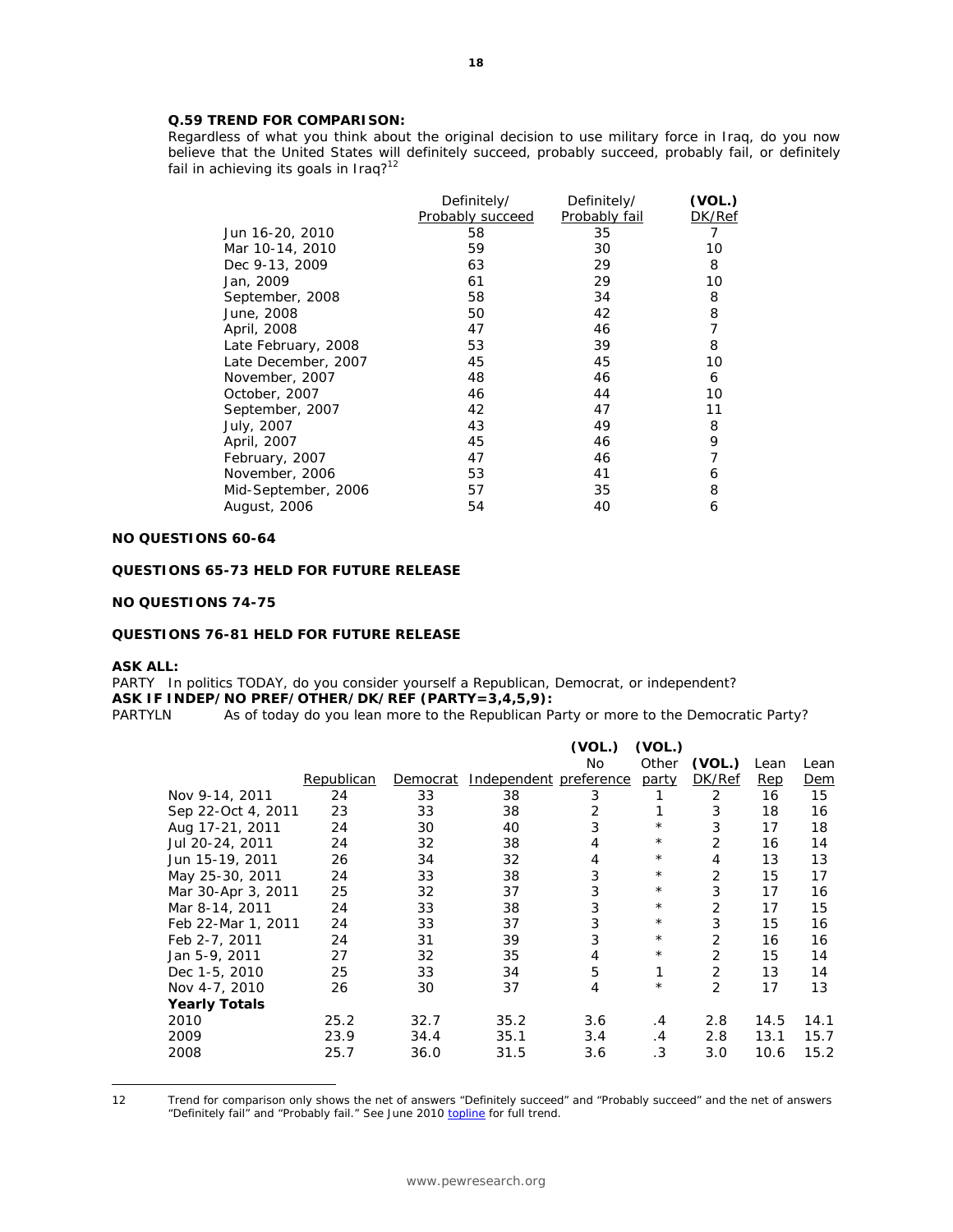# **Q.59 TREND FOR COMPARISON:**

*Regardless of what you think about the original decision to use military force in Iraq, do you now believe that the United States will definitely succeed, probably succeed, probably fail, or definitely fail in achieving its goals in Iraq?12*

|                     | Definitely/<br>Probably succeed | Definitely/<br>Probably fail | (VOL.)<br>DK/Ref |
|---------------------|---------------------------------|------------------------------|------------------|
| Jun 16-20, 2010     | 58                              | 35                           | 7                |
| Mar 10-14, 2010     | 59                              | 30                           | 10               |
| Dec 9-13, 2009      | 63                              | 29                           | 8                |
| Jan, 2009           | 61                              | 29                           | 10               |
| September, 2008     | 58                              | 34                           | 8                |
| June, 2008          | 50                              | 42                           | 8                |
| April, 2008         | 47                              | 46                           | 7                |
| Late February, 2008 | 53                              | 39                           | 8                |
| Late December, 2007 | 45                              | 45                           | 10               |
| November, 2007      | 48                              | 46                           | 6                |
| October, 2007       | 46                              | 44                           | 10               |
| September, 2007     | 42                              | 47                           | 11               |
| July, 2007          | 43                              | 49                           | 8                |
| April, 2007         | 45                              | 46                           | 9                |
| February, 2007      | 47                              | 46                           |                  |
| November, 2006      | 53                              | 41                           | 6                |
| Mid-September, 2006 | 57                              | 35                           | 8                |
| August, 2006        | 54                              | 40                           | 6                |

# **NO QUESTIONS 60-64**

#### **QUESTIONS 65-73 HELD FOR FUTURE RELEASE**

#### **NO QUESTIONS 74-75**

#### **QUESTIONS 76-81 HELD FOR FUTURE RELEASE**

#### **ASK ALL:**

 $\overline{a}$ 

PARTY In politics TODAY, do you consider yourself a Republican, Democrat, or independent? **ASK IF INDEP/NO PREF/OTHER/DK/REF (PARTY=3,4,5,9):** 

PARTYLN As of today do you lean more to the Republican Party or more to the Democratic Party?

|                      |            |          |                        | (VOL.)    | (VOL.)   |                |      |      |
|----------------------|------------|----------|------------------------|-----------|----------|----------------|------|------|
|                      |            |          |                        | <b>No</b> | Other    | (VOL.)         | Lean | Lean |
|                      | Republican | Democrat | Independent preference |           | party    | DK/Ref         | Rep  | Dem  |
| Nov 9-14, 2011       | 24         | 33       | 38                     | 3         |          | 2              | 16   | 15   |
| Sep 22-Oct 4, 2011   | 23         | 33       | 38                     | 2         | 1        | 3              | 18   | 16   |
| Aug 17-21, 2011      | 24         | 30       | 40                     | 3         | $^\star$ | 3              | 17   | 18   |
| Jul 20-24, 2011      | 24         | 32       | 38                     | 4         | $^\star$ | 2              | 16   | 14   |
| Jun 15-19, 2011      | 26         | 34       | 32                     | 4         | $^\star$ | 4              | 13   | 13   |
| May 25-30, 2011      | 24         | 33       | 38                     | 3         | $^\star$ | $\overline{2}$ | 15   | 17   |
| Mar 30-Apr 3, 2011   | 25         | 32       | 37                     | 3         | $\star$  | 3              | 17   | 16   |
| Mar 8-14, 2011       | 24         | 33       | 38                     | 3         | $^\star$ | 2              | 17   | 15   |
| Feb 22-Mar 1, 2011   | 24         | 33       | 37                     | 3         | $^\star$ | 3              | 15   | 16   |
| Feb 2-7, 2011        | 24         | 31       | 39                     | 3         | $^\star$ | 2              | 16   | 16   |
| Jan 5-9, 2011        | 27         | 32       | 35                     | 4         | $^\star$ | 2              | 15   | 14   |
| Dec 1-5, 2010        | 25         | 33       | 34                     | 5         | 1        | 2              | 13   | 14   |
| Nov 4-7, 2010        | 26         | 30       | 37                     | 4         | $^\star$ | $\overline{2}$ | 17   | 13   |
| <b>Yearly Totals</b> |            |          |                        |           |          |                |      |      |
| 2010                 | 25.2       | 32.7     | 35.2                   | 3.6       | $\cdot$  | 2.8            | 14.5 | 14.1 |
| 2009                 | 23.9       | 34.4     | 35.1                   | 3.4       | $\cdot$  | 2.8            | 13.1 | 15.7 |
| 2008                 | 25.7       | 36.0     | 31.5                   | 3.6       | .3       | 3.0            | 10.6 | 15.2 |
|                      |            |          |                        |           |          |                |      |      |

<sup>12</sup> Trend for comparison only shows the net of answers "Definitely succeed" and "Probably succeed" and the net of answers "Definitely fail" and "Probably fail." See June 2010 topline for full trend.